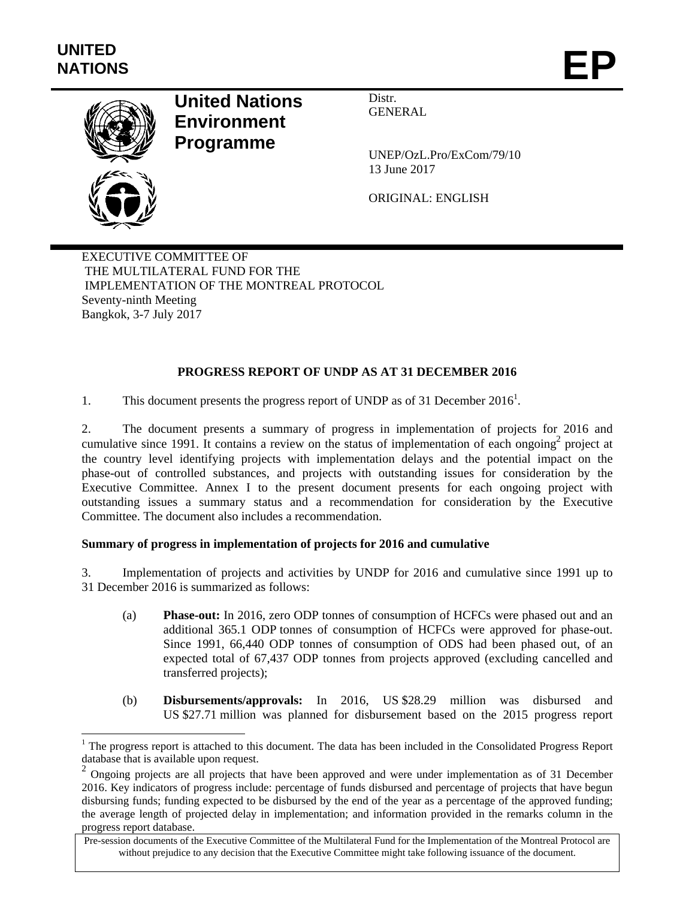l



# **United Nations Environment Programme**

Distr. GENERAL

UNEP/OzL.Pro/ExCom/79/10 13 June 2017

ORIGINAL: ENGLISH

EXECUTIVE COMMITTEE OF THE MULTILATERAL FUND FOR THE IMPLEMENTATION OF THE MONTREAL PROTOCOL Seventy-ninth Meeting Bangkok, 3-7 July 2017

# **PROGRESS REPORT OF UNDP AS AT 31 DECEMBER 2016**

1. This document presents the progress report of UNDP as of 31 December  $2016<sup>1</sup>$ .

2. The document presents a summary of progress in implementation of projects for 2016 and cumulative since 1991. It contains a review on the status of implementation of each ongoing<sup>2</sup> project at the country level identifying projects with implementation delays and the potential impact on the phase-out of controlled substances, and projects with outstanding issues for consideration by the Executive Committee. Annex I to the present document presents for each ongoing project with outstanding issues a summary status and a recommendation for consideration by the Executive Committee. The document also includes a recommendation.

#### **Summary of progress in implementation of projects for 2016 and cumulative**

3. Implementation of projects and activities by UNDP for 2016 and cumulative since 1991 up to 31 December 2016 is summarized as follows:

- (a) **Phase-out:** In 2016, zero ODP tonnes of consumption of HCFCs were phased out and an additional 365.1 ODP tonnes of consumption of HCFCs were approved for phase-out. Since 1991, 66,440 ODP tonnes of consumption of ODS had been phased out, of an expected total of 67,437 ODP tonnes from projects approved (excluding cancelled and transferred projects);
- (b) **Disbursements/approvals:** In 2016, US \$28.29 million was disbursed and US \$27.71 million was planned for disbursement based on the 2015 progress report

 $1$  The progress report is attached to this document. The data has been included in the Consolidated Progress Report database that is available upon request.

<sup>&</sup>lt;sup>2</sup> Ongoing projects are all projects that have been approved and were under implementation as of 31 December 2016. Key indicators of progress include: percentage of funds disbursed and percentage of projects that have begun disbursing funds; funding expected to be disbursed by the end of the year as a percentage of the approved funding; the average length of projected delay in implementation; and information provided in the remarks column in the progress report database.

Pre-session documents of the Executive Committee of the Multilateral Fund for the Implementation of the Montreal Protocol are without prejudice to any decision that the Executive Committee might take following issuance of the document.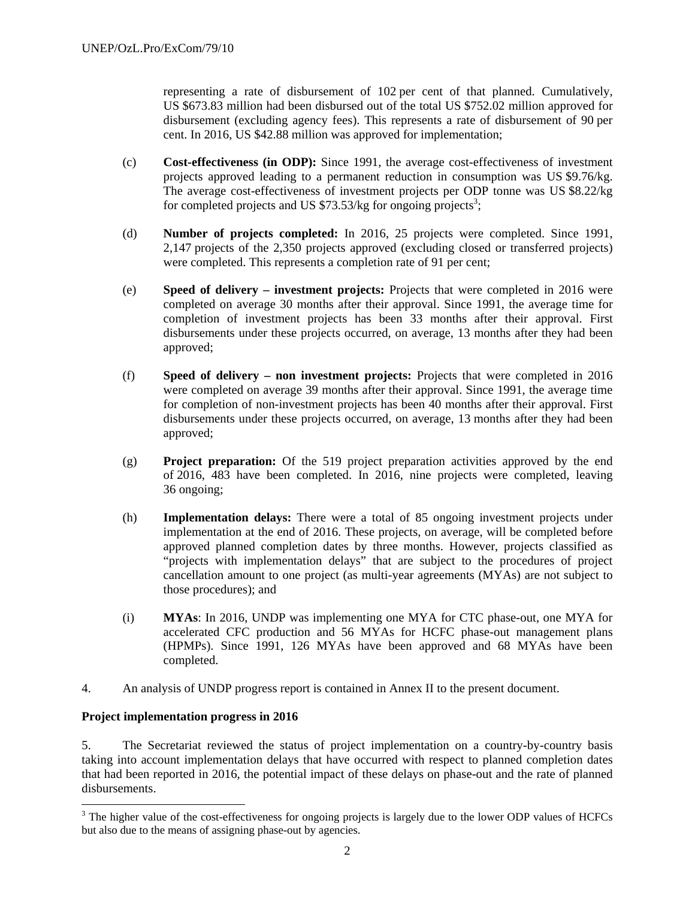representing a rate of disbursement of 102 per cent of that planned. Cumulatively, US \$673.83 million had been disbursed out of the total US \$752.02 million approved for disbursement (excluding agency fees). This represents a rate of disbursement of 90 per cent. In 2016, US \$42.88 million was approved for implementation;

- (c) **Cost-effectiveness (in ODP):** Since 1991, the average cost-effectiveness of investment projects approved leading to a permanent reduction in consumption was US \$9.76/kg. The average cost-effectiveness of investment projects per ODP tonne was US \$8.22/kg for completed projects and US  $$73.53/kg$  for ongoing projects<sup>3</sup>;
- (d) **Number of projects completed:** In 2016, 25 projects were completed. Since 1991, 2,147 projects of the 2,350 projects approved (excluding closed or transferred projects) were completed. This represents a completion rate of 91 per cent;
- (e) **Speed of delivery investment projects:** Projects that were completed in 2016 were completed on average 30 months after their approval. Since 1991, the average time for completion of investment projects has been 33 months after their approval. First disbursements under these projects occurred, on average, 13 months after they had been approved;
- (f) **Speed of delivery non investment projects:** Projects that were completed in 2016 were completed on average 39 months after their approval. Since 1991, the average time for completion of non-investment projects has been 40 months after their approval. First disbursements under these projects occurred, on average, 13 months after they had been approved;
- (g) **Project preparation:** Of the 519 project preparation activities approved by the end of 2016, 483 have been completed. In 2016, nine projects were completed, leaving 36 ongoing;
- (h) **Implementation delays:** There were a total of 85 ongoing investment projects under implementation at the end of 2016. These projects, on average, will be completed before approved planned completion dates by three months. However, projects classified as "projects with implementation delays" that are subject to the procedures of project cancellation amount to one project (as multi-year agreements (MYAs) are not subject to those procedures); and
- (i) **MYAs**: In 2016, UNDP was implementing one MYA for CTC phase-out, one MYA for accelerated CFC production and 56 MYAs for HCFC phase-out management plans (HPMPs). Since 1991, 126 MYAs have been approved and 68 MYAs have been completed.
- 4. An analysis of UNDP progress report is contained in Annex II to the present document.

#### **Project implementation progress in 2016**

1

5. The Secretariat reviewed the status of project implementation on a country-by-country basis taking into account implementation delays that have occurred with respect to planned completion dates that had been reported in 2016, the potential impact of these delays on phase-out and the rate of planned disbursements.

 $3$  The higher value of the cost-effectiveness for ongoing projects is largely due to the lower ODP values of HCFCs but also due to the means of assigning phase-out by agencies.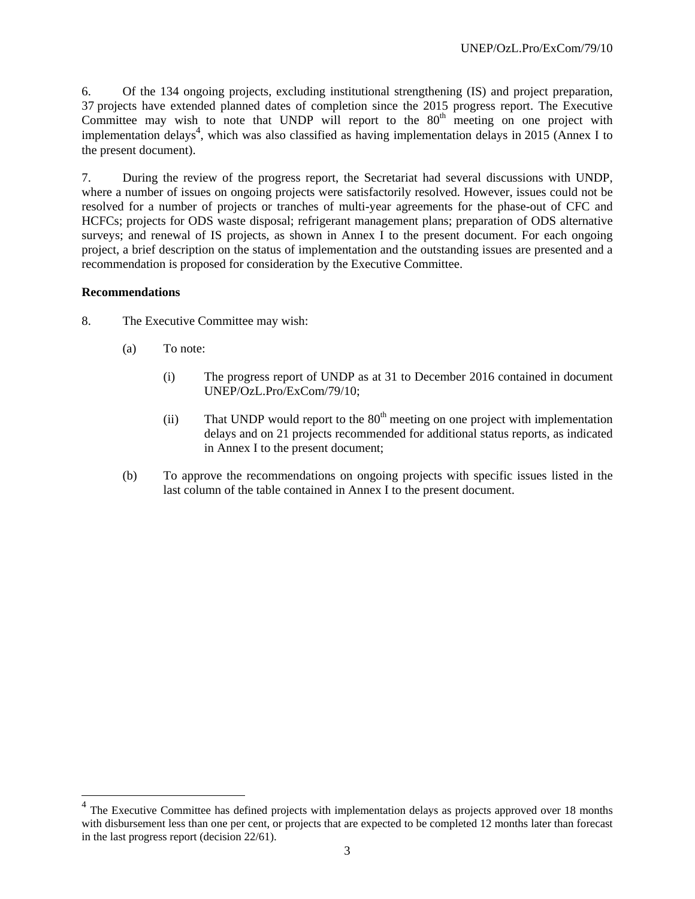6. Of the 134 ongoing projects, excluding institutional strengthening (IS) and project preparation, 37 projects have extended planned dates of completion since the 2015 progress report. The Executive Committee may wish to note that UNDP will report to the  $80<sup>th</sup>$  meeting on one project with implementation delays<sup>4</sup>, which was also classified as having implementation delays in 2015 (Annex I to the present document).

7. During the review of the progress report, the Secretariat had several discussions with UNDP, where a number of issues on ongoing projects were satisfactorily resolved. However, issues could not be resolved for a number of projects or tranches of multi-year agreements for the phase-out of CFC and HCFCs; projects for ODS waste disposal; refrigerant management plans; preparation of ODS alternative surveys; and renewal of IS projects, as shown in Annex I to the present document. For each ongoing project, a brief description on the status of implementation and the outstanding issues are presented and a recommendation is proposed for consideration by the Executive Committee.

#### **Recommendations**

-

- 8. The Executive Committee may wish:
	- (a) To note:
		- (i) The progress report of UNDP as at 31 to December 2016 contained in document UNEP/OzL.Pro/ExCom/79/10;
		- (ii) That UNDP would report to the  $80<sup>th</sup>$  meeting on one project with implementation delays and on 21 projects recommended for additional status reports, as indicated in Annex I to the present document;
	- (b) To approve the recommendations on ongoing projects with specific issues listed in the last column of the table contained in Annex I to the present document.

<sup>&</sup>lt;sup>4</sup> The Executive Committee has defined projects with implementation delays as projects approved over 18 months with disbursement less than one per cent, or projects that are expected to be completed 12 months later than forecast in the last progress report (decision 22/61).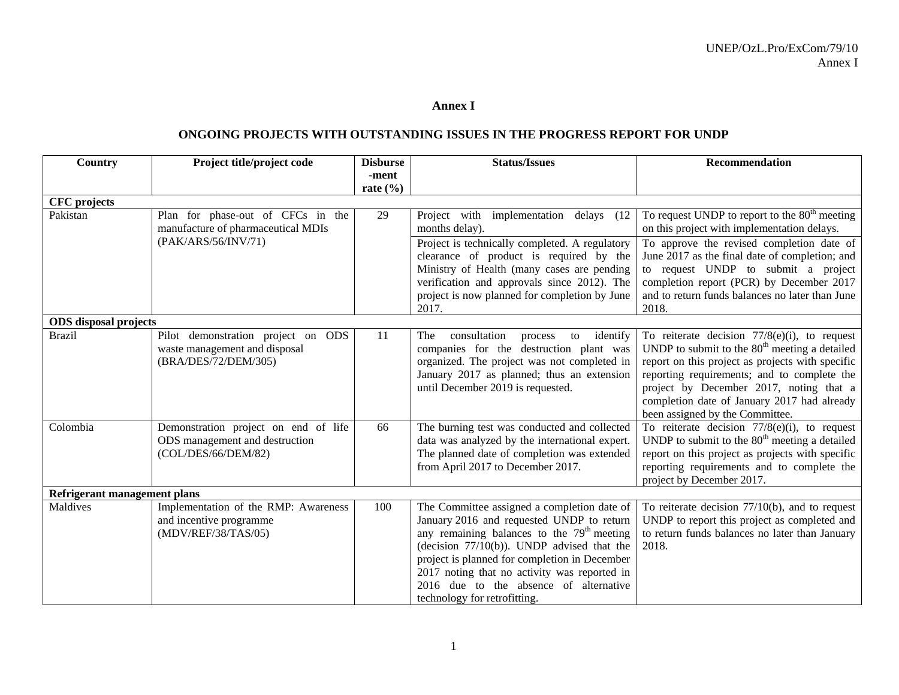#### **Annex I**

#### **ONGOING PROJECTS WITH OUTSTANDING ISSUES IN THE PROGRESS REPORT FOR UNDP**

| <b>Country</b>               | Project title/project code                                                                    | <b>Disburse</b> | <b>Status/Issues</b>                                                                                                                                                                                                                                                                                                                                                           | Recommendation                                                                                                                                                                                                                                                                                                                     |  |
|------------------------------|-----------------------------------------------------------------------------------------------|-----------------|--------------------------------------------------------------------------------------------------------------------------------------------------------------------------------------------------------------------------------------------------------------------------------------------------------------------------------------------------------------------------------|------------------------------------------------------------------------------------------------------------------------------------------------------------------------------------------------------------------------------------------------------------------------------------------------------------------------------------|--|
|                              |                                                                                               | -ment           |                                                                                                                                                                                                                                                                                                                                                                                |                                                                                                                                                                                                                                                                                                                                    |  |
|                              |                                                                                               | rate $(\% )$    |                                                                                                                                                                                                                                                                                                                                                                                |                                                                                                                                                                                                                                                                                                                                    |  |
| <b>CFC</b> projects          |                                                                                               |                 |                                                                                                                                                                                                                                                                                                                                                                                |                                                                                                                                                                                                                                                                                                                                    |  |
| Pakistan                     | Plan for phase-out of CFCs in the<br>manufacture of pharmaceutical MDIs                       | 29              | Project with implementation delays (12<br>months delay).                                                                                                                                                                                                                                                                                                                       | To request UNDP to report to the $80th$ meeting<br>on this project with implementation delays.                                                                                                                                                                                                                                     |  |
|                              | (PAK/ARS/56/INV/71)                                                                           |                 | Project is technically completed. A regulatory<br>clearance of product is required by the<br>Ministry of Health (many cases are pending<br>verification and approvals since 2012). The<br>project is now planned for completion by June                                                                                                                                        | To approve the revised completion date of<br>June 2017 as the final date of completion; and<br>to request UNDP to submit a project<br>completion report (PCR) by December 2017<br>and to return funds balances no later than June                                                                                                  |  |
|                              |                                                                                               |                 | 2017.                                                                                                                                                                                                                                                                                                                                                                          | 2018.                                                                                                                                                                                                                                                                                                                              |  |
| <b>ODS</b> disposal projects |                                                                                               |                 |                                                                                                                                                                                                                                                                                                                                                                                |                                                                                                                                                                                                                                                                                                                                    |  |
| <b>Brazil</b>                | Pilot demonstration project on ODS<br>waste management and disposal<br>(BRA/DES/72/DEM/305)   | 11              | identify<br>consultation<br>to<br>The<br>process<br>companies for the destruction plant was<br>organized. The project was not completed in<br>January 2017 as planned; thus an extension<br>until December 2019 is requested.                                                                                                                                                  | To reiterate decision $77/8(e)(i)$ , to request<br>UNDP to submit to the $80th$ meeting a detailed<br>report on this project as projects with specific<br>reporting requirements; and to complete the<br>project by December 2017, noting that a<br>completion date of January 2017 had already<br>been assigned by the Committee. |  |
| Colombia                     | Demonstration project on end of life<br>ODS management and destruction<br>(COL/DES/66/DEM/82) | 66              | The burning test was conducted and collected<br>data was analyzed by the international expert.<br>The planned date of completion was extended<br>from April 2017 to December 2017.                                                                                                                                                                                             | To reiterate decision $77/8$ (e)(i), to request<br>UNDP to submit to the $80th$ meeting a detailed<br>report on this project as projects with specific<br>reporting requirements and to complete the<br>project by December 2017.                                                                                                  |  |
| Refrigerant management plans |                                                                                               |                 |                                                                                                                                                                                                                                                                                                                                                                                |                                                                                                                                                                                                                                                                                                                                    |  |
| Maldives                     | Implementation of the RMP: Awareness<br>and incentive programme<br>(MDV/REF/38/TAS/05)        | 100             | The Committee assigned a completion date of<br>January 2016 and requested UNDP to return<br>any remaining balances to the 79 <sup>th</sup> meeting<br>(decision $77/10(b)$ ). UNDP advised that the<br>project is planned for completion in December<br>2017 noting that no activity was reported in<br>2016 due to the absence of alternative<br>technology for retrofitting. | To reiterate decision $77/10(b)$ , and to request<br>UNDP to report this project as completed and<br>to return funds balances no later than January<br>2018.                                                                                                                                                                       |  |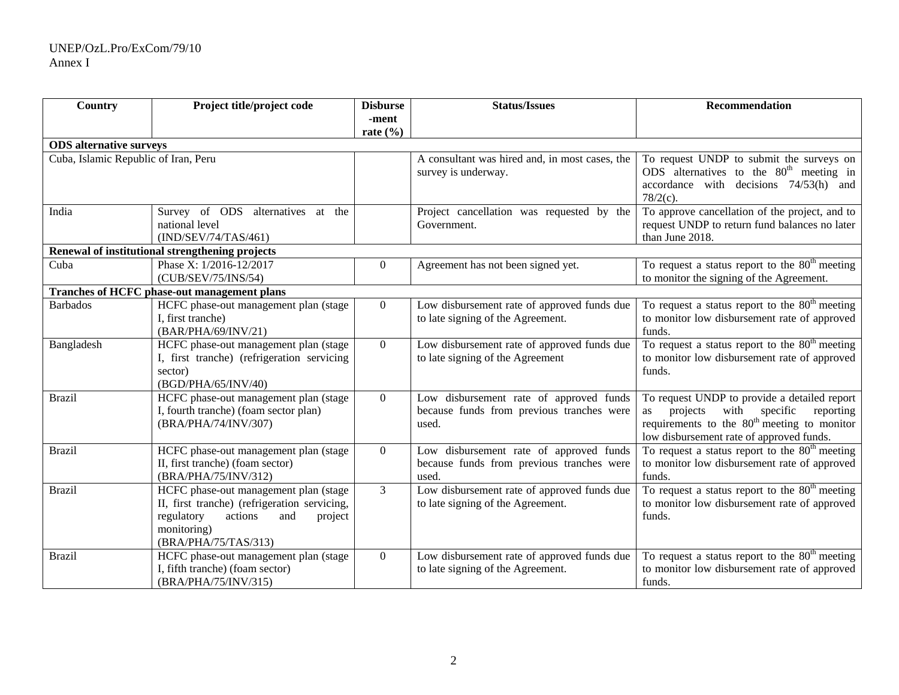#### UNEP/OzL.Pro/ExCom/79/10 Annex I

| Country                                                                              | Project title/project code                                                                                                                                              | <b>Disburse</b> | <b>Status/Issues</b>                                                                          | Recommendation                                                                                                                                                                                             |
|--------------------------------------------------------------------------------------|-------------------------------------------------------------------------------------------------------------------------------------------------------------------------|-----------------|-----------------------------------------------------------------------------------------------|------------------------------------------------------------------------------------------------------------------------------------------------------------------------------------------------------------|
|                                                                                      |                                                                                                                                                                         | -ment           |                                                                                               |                                                                                                                                                                                                            |
|                                                                                      |                                                                                                                                                                         | rate $(\% )$    |                                                                                               |                                                                                                                                                                                                            |
| <b>ODS</b> alternative surveys                                                       |                                                                                                                                                                         |                 |                                                                                               |                                                                                                                                                                                                            |
| Cuba, Islamic Republic of Iran, Peru                                                 |                                                                                                                                                                         |                 | A consultant was hired and, in most cases, the<br>survey is underway.                         | To request UNDP to submit the surveys on<br>ODS alternatives to the $80th$ meeting in<br>accordance with decisions 74/53(h) and<br>$78/2(c)$ .                                                             |
| India<br>Survey of ODS alternatives at the<br>national level<br>(IND/SEV/74/TAS/461) |                                                                                                                                                                         |                 | Project cancellation was requested by the<br>Government.                                      | To approve cancellation of the project, and to<br>request UNDP to return fund balances no later<br>than June 2018.                                                                                         |
|                                                                                      | Renewal of institutional strengthening projects                                                                                                                         |                 |                                                                                               |                                                                                                                                                                                                            |
| Cuba                                                                                 | Phase X: 1/2016-12/2017<br>(CUB/SEV/75/INS/54)                                                                                                                          | $\overline{0}$  | Agreement has not been signed yet.                                                            | To request a status report to the $80th$ meeting<br>to monitor the signing of the Agreement.                                                                                                               |
|                                                                                      | Tranches of HCFC phase-out management plans                                                                                                                             |                 |                                                                                               |                                                                                                                                                                                                            |
| <b>Barbados</b>                                                                      | HCFC phase-out management plan (stage<br>I, first tranche)<br>(BAR/PHA/69/INV/21)                                                                                       | $\Omega$        | Low disbursement rate of approved funds due<br>to late signing of the Agreement.              | To request a status report to the $80th$ meeting<br>to monitor low disbursement rate of approved<br>funds.                                                                                                 |
| Bangladesh                                                                           | HCFC phase-out management plan (stage<br>I, first tranche) (refrigeration servicing<br>sector)<br>(BGD/PHA/65/INV/40)                                                   | $\theta$        | Low disbursement rate of approved funds due<br>to late signing of the Agreement               | To request a status report to the $80th$ meeting<br>to monitor low disbursement rate of approved<br>funds.                                                                                                 |
| <b>Brazil</b>                                                                        | HCFC phase-out management plan (stage<br>I, fourth tranche) (foam sector plan)<br>(BRA/PHA/74/INV/307)                                                                  | $\Omega$        | Low disbursement rate of approved funds<br>because funds from previous tranches were<br>used. | To request UNDP to provide a detailed report<br>projects<br>with specific<br>reporting<br><b>as</b><br>requirements to the 80 <sup>th</sup> meeting to monitor<br>low disbursement rate of approved funds. |
| <b>Brazil</b>                                                                        | HCFC phase-out management plan (stage<br>II, first tranche) (foam sector)<br>(BRA/PHA/75/INV/312)                                                                       | $\overline{0}$  | Low disbursement rate of approved funds<br>because funds from previous tranches were<br>used. | To request a status report to the $80th$ meeting<br>to monitor low disbursement rate of approved<br>funds.                                                                                                 |
| <b>Brazil</b>                                                                        | HCFC phase-out management plan (stage<br>II, first tranche) (refrigeration servicing,<br>regulatory<br>actions<br>and<br>project<br>monitoring)<br>(BRA/PHA/75/TAS/313) | $\overline{3}$  | Low disbursement rate of approved funds due<br>to late signing of the Agreement.              | To request a status report to the 80 <sup>th</sup> meeting<br>to monitor low disbursement rate of approved<br>funds.                                                                                       |
| <b>Brazil</b>                                                                        | HCFC phase-out management plan (stage<br>I, fifth tranche) (foam sector)<br>(BRA/PHA/75/INV/315)                                                                        | $\theta$        | Low disbursement rate of approved funds due<br>to late signing of the Agreement.              | To request a status report to the $80th$ meeting<br>to monitor low disbursement rate of approved<br>funds.                                                                                                 |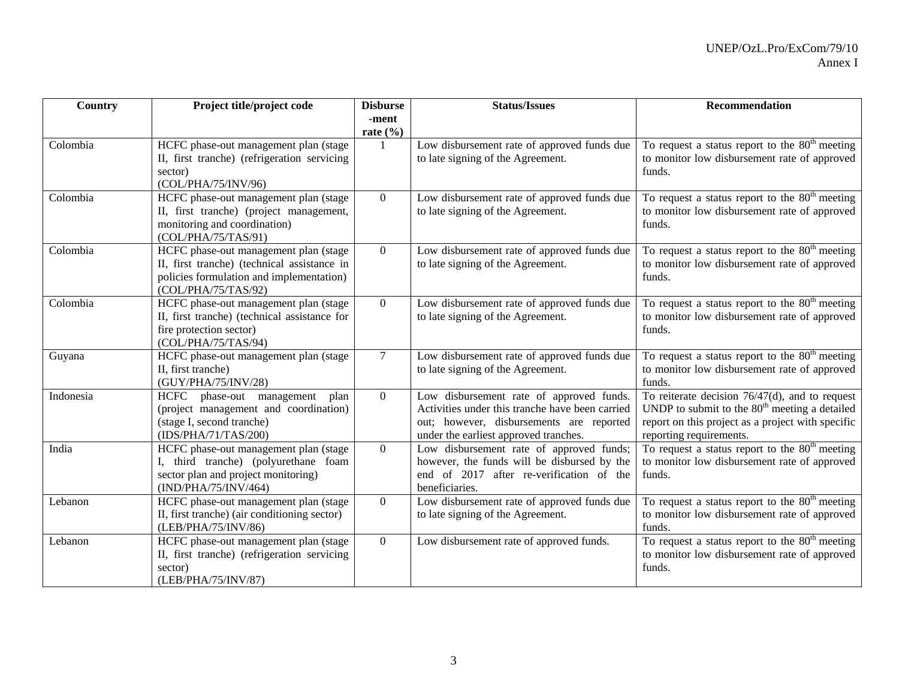| Country   | Project title/project code                                                           | <b>Disburse</b> | <b>Status/Issues</b>                                                              | <b>Recommendation</b>                                                                            |
|-----------|--------------------------------------------------------------------------------------|-----------------|-----------------------------------------------------------------------------------|--------------------------------------------------------------------------------------------------|
|           |                                                                                      | -ment           |                                                                                   |                                                                                                  |
| Colombia  | HCFC phase-out management plan (stage                                                | rate $(\% )$    | Low disbursement rate of approved funds due                                       | To request a status report to the $80th$ meeting                                                 |
|           | II, first tranche) (refrigeration servicing                                          |                 | to late signing of the Agreement.                                                 | to monitor low disbursement rate of approved                                                     |
|           | sector)                                                                              |                 |                                                                                   | funds.                                                                                           |
|           | (COL/PHA/75/INV/96)                                                                  |                 |                                                                                   |                                                                                                  |
| Colombia  | HCFC phase-out management plan (stage                                                | $\overline{0}$  | Low disbursement rate of approved funds due                                       | To request a status report to the $80th$ meeting                                                 |
|           | II, first tranche) (project management,                                              |                 | to late signing of the Agreement.                                                 | to monitor low disbursement rate of approved                                                     |
|           | monitoring and coordination)<br>(COL/PHA/75/TAS/91)                                  |                 |                                                                                   | funds.                                                                                           |
| Colombia  | HCFC phase-out management plan (stage                                                | $\Omega$        | Low disbursement rate of approved funds due                                       | To request a status report to the $80th$ meeting                                                 |
|           | II, first tranche) (technical assistance in                                          |                 | to late signing of the Agreement.                                                 | to monitor low disbursement rate of approved                                                     |
|           | policies formulation and implementation)                                             |                 |                                                                                   | funds.                                                                                           |
|           | (COL/PHA/75/TAS/92)                                                                  |                 |                                                                                   |                                                                                                  |
| Colombia  | HCFC phase-out management plan (stage                                                | $\overline{0}$  | Low disbursement rate of approved funds due                                       | To request a status report to the $80th$ meeting                                                 |
|           | II, first tranche) (technical assistance for                                         |                 | to late signing of the Agreement.                                                 | to monitor low disbursement rate of approved                                                     |
|           | fire protection sector)<br>(COL/PHA/75/TAS/94)                                       |                 |                                                                                   | funds.                                                                                           |
| Guyana    | HCFC phase-out management plan (stage                                                | $\tau$          | Low disbursement rate of approved funds due                                       | To request a status report to the $80th$ meeting                                                 |
|           | II, first tranche)                                                                   |                 | to late signing of the Agreement.                                                 | to monitor low disbursement rate of approved                                                     |
|           | (GUY/PHA/75/INV/28)                                                                  |                 |                                                                                   | funds.                                                                                           |
| Indonesia | HCFC phase-out management<br>plan                                                    | $\overline{0}$  | Low disbursement rate of approved funds.                                          | To reiterate decision $76/47(d)$ , and to request                                                |
|           | (project management and coordination)                                                |                 | Activities under this tranche have been carried                                   | UNDP to submit to the $80th$ meeting a detailed                                                  |
|           | (stage I, second tranche)<br>(IDS/PHA/71/TAS/200)                                    |                 | out; however, disbursements are reported<br>under the earliest approved tranches. | report on this project as a project with specific<br>reporting requirements.                     |
| India     | HCFC phase-out management plan (stage                                                | $\overline{0}$  | Low disbursement rate of approved funds;                                          | To request a status report to the $80th$ meeting                                                 |
|           | I, third tranche) (polyurethane foam                                                 |                 | however, the funds will be disbursed by the                                       | to monitor low disbursement rate of approved                                                     |
|           | sector plan and project monitoring)                                                  |                 | end of 2017 after re-verification of the                                          | funds.                                                                                           |
|           | (IND/PHA/75/INV/464)                                                                 |                 | beneficiaries.                                                                    |                                                                                                  |
| Lebanon   | HCFC phase-out management plan (stage                                                | $\overline{0}$  | Low disbursement rate of approved funds due                                       | To request a status report to the $80th$ meeting                                                 |
|           | II, first tranche) (air conditioning sector)                                         |                 | to late signing of the Agreement.                                                 | to monitor low disbursement rate of approved                                                     |
|           | (LEB/PHA/75/INV/86)                                                                  |                 |                                                                                   | funds.                                                                                           |
| Lebanon   | HCFC phase-out management plan (stage<br>II, first tranche) (refrigeration servicing | $\overline{0}$  | Low disbursement rate of approved funds.                                          | To request a status report to the $80th$ meeting<br>to monitor low disbursement rate of approved |
|           | sector)                                                                              |                 |                                                                                   | funds.                                                                                           |
|           | (LEB/PHA/75/INV/87)                                                                  |                 |                                                                                   |                                                                                                  |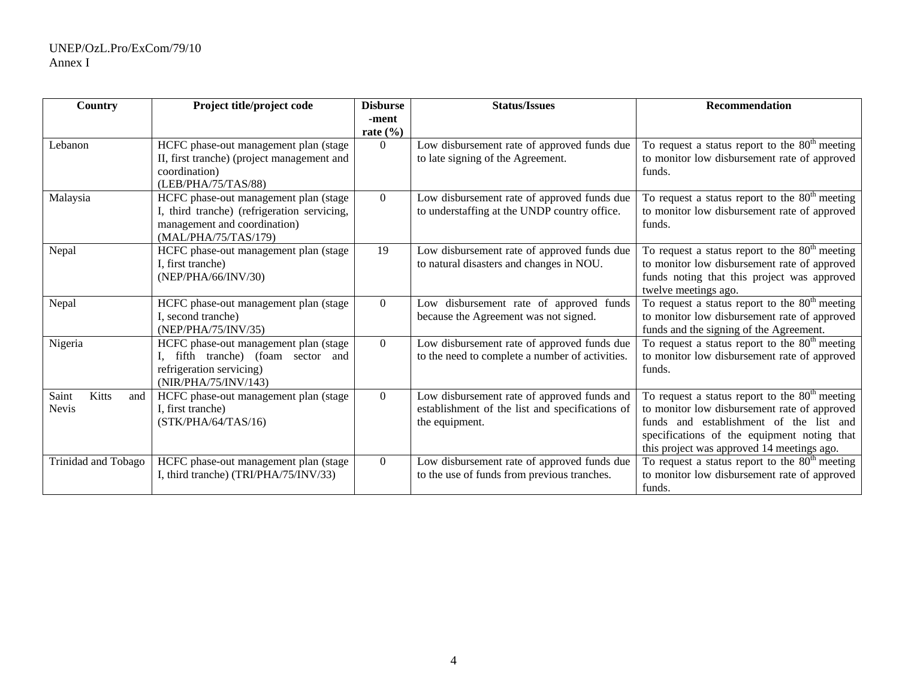| <b>Country</b>                        | Project title/project code                                                                                                                   | <b>Disburse</b>       | <b>Status/Issues</b>                                                                                                                                                                                      | <b>Recommendation</b>                                                                                                                                                                                                                    |                                                                                  |                                                                                                                                             |
|---------------------------------------|----------------------------------------------------------------------------------------------------------------------------------------------|-----------------------|-----------------------------------------------------------------------------------------------------------------------------------------------------------------------------------------------------------|------------------------------------------------------------------------------------------------------------------------------------------------------------------------------------------------------------------------------------------|----------------------------------------------------------------------------------|---------------------------------------------------------------------------------------------------------------------------------------------|
|                                       |                                                                                                                                              | -ment<br>rate $(\% )$ |                                                                                                                                                                                                           |                                                                                                                                                                                                                                          |                                                                                  |                                                                                                                                             |
| Lebanon                               | HCFC phase-out management plan (stage<br>II, first tranche) (project management and<br>coordination)<br>(LEB/PHA/75/TAS/88)                  |                       | Low disbursement rate of approved funds due<br>to late signing of the Agreement.                                                                                                                          | To request a status report to the $80th$ meeting<br>to monitor low disbursement rate of approved<br>funds.                                                                                                                               |                                                                                  |                                                                                                                                             |
| Malaysia                              | HCFC phase-out management plan (stage<br>I, third tranche) (refrigeration servicing,<br>management and coordination)<br>(MAL/PHA/75/TAS/179) | $\Omega$              | To request a status report to the $80th$ meeting<br>Low disbursement rate of approved funds due<br>to monitor low disbursement rate of approved<br>to understaffing at the UNDP country office.<br>funds. |                                                                                                                                                                                                                                          |                                                                                  |                                                                                                                                             |
| Nepal                                 | HCFC phase-out management plan (stage<br>I, first tranche)<br>(NEP/PHA/66/INV/30)                                                            |                       | Low disbursement rate of approved funds due<br>to natural disasters and changes in NOU.                                                                                                                   | To request a status report to the $80th$ meeting<br>to monitor low disbursement rate of approved<br>funds noting that this project was approved<br>twelve meetings ago.                                                                  |                                                                                  |                                                                                                                                             |
| Nepal                                 | HCFC phase-out management plan (stage<br>I, second tranche)                                                                                  |                       | (NEP/PHA/75/INV/35)                                                                                                                                                                                       |                                                                                                                                                                                                                                          | Low disbursement rate of approved funds<br>because the Agreement was not signed. | To request a status report to the $80th$ meeting<br>to monitor low disbursement rate of approved<br>funds and the signing of the Agreement. |
| Nigeria                               | HCFC phase-out management plan (stage<br>, fifth tranche) (foam sector and<br>refrigeration servicing)<br>(NIR/PHA/75/INV/143)               |                       | Low disbursement rate of approved funds due<br>to the need to complete a number of activities.                                                                                                            | To request a status report to the $80th$ meeting<br>to monitor low disbursement rate of approved<br>funds.                                                                                                                               |                                                                                  |                                                                                                                                             |
| Saint<br>Kitts<br>and<br><b>Nevis</b> | HCFC phase-out management plan (stage<br>I, first tranche)<br>(STK/PHA/64/TAS/16)                                                            |                       | Low disbursement rate of approved funds and<br>establishment of the list and specifications of<br>the equipment.                                                                                          | To request a status report to the $80th$ meeting<br>to monitor low disbursement rate of approved<br>funds and establishment of the list and<br>specifications of the equipment noting that<br>this project was approved 14 meetings ago. |                                                                                  |                                                                                                                                             |
| Trinidad and Tobago                   | HCFC phase-out management plan (stage<br>I, third tranche) (TRI/PHA/75/INV/33)                                                               | $\Omega$              | Low disbursement rate of approved funds due<br>to the use of funds from previous tranches.                                                                                                                | To request a status report to the $80th$ meeting<br>to monitor low disbursement rate of approved<br>funds.                                                                                                                               |                                                                                  |                                                                                                                                             |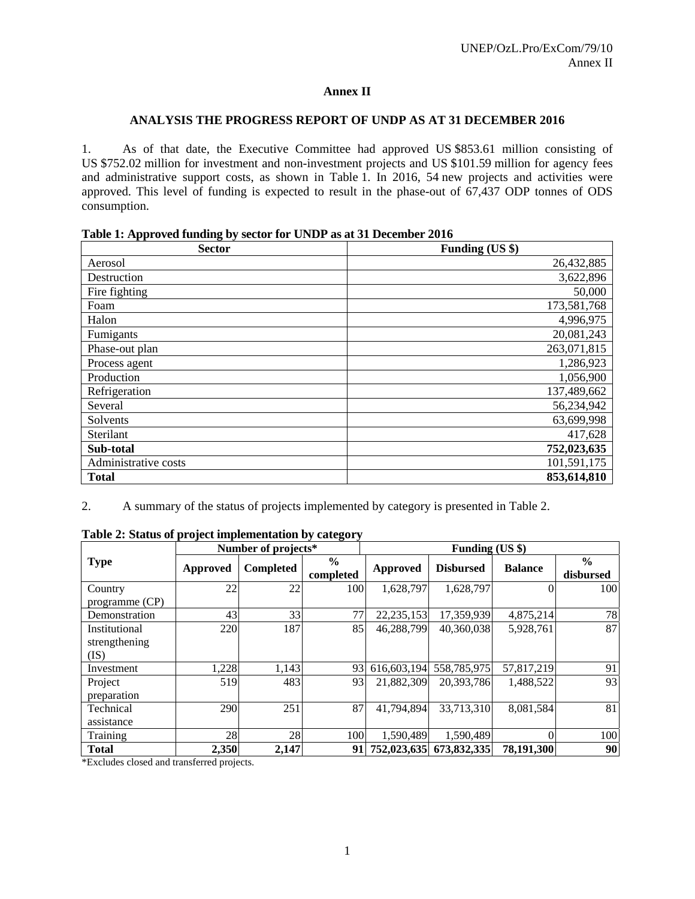#### **Annex II**

#### **ANALYSIS THE PROGRESS REPORT OF UNDP AS AT 31 DECEMBER 2016**

1. As of that date, the Executive Committee had approved US \$853.61 million consisting of US \$752.02 million for investment and non-investment projects and US \$101.59 million for agency fees and administrative support costs, as shown in Table 1. In 2016, 54 new projects and activities were approved. This level of funding is expected to result in the phase-out of 67,437 ODP tonnes of ODS consumption.

| Table 1: Approved funding by sector for UNDP as at 31 December 2016 |
|---------------------------------------------------------------------|
|---------------------------------------------------------------------|

| <b>Sector</b>        | Funding (US \$) |
|----------------------|-----------------|
| Aerosol              | 26,432,885      |
| Destruction          | 3,622,896       |
| Fire fighting        | 50,000          |
| Foam                 | 173,581,768     |
| Halon                | 4,996,975       |
| Fumigants            | 20,081,243      |
| Phase-out plan       | 263,071,815     |
| Process agent        | 1,286,923       |
| Production           | 1,056,900       |
| Refrigeration        | 137,489,662     |
| Several              | 56,234,942      |
| Solvents             | 63,699,998      |
| Sterilant            | 417,628         |
| Sub-total            | 752,023,635     |
| Administrative costs | 101,591,175     |
| <b>Total</b>         | 853,614,810     |

2. A summary of the status of projects implemented by category is presented in Table 2.

|                |          | Number of projects* |                            | Funding (US \$) |                  |                |                            |
|----------------|----------|---------------------|----------------------------|-----------------|------------------|----------------|----------------------------|
| <b>Type</b>    | Approved | <b>Completed</b>    | $\frac{6}{6}$<br>completed | Approved        | <b>Disbursed</b> | <b>Balance</b> | $\frac{0}{0}$<br>disbursed |
| Country        | 22       | 22                  | 100                        | 1,628,797       | 1,628,797        |                | 100                        |
| programme (CP) |          |                     |                            |                 |                  |                |                            |
| Demonstration  | 43       | 33                  | 77                         | 22, 235, 153    | 17,359,939       | 4,875,214      | 78                         |
| Institutional  | 220      | 187                 | 85                         | 46,288,799      | 40,360,038       | 5,928,761      | 87                         |
| strengthening  |          |                     |                            |                 |                  |                |                            |
| (IS)           |          |                     |                            |                 |                  |                |                            |
| Investment     | ,228     | 1,143               | 93                         | 616,603,194     | 558,785,975      | 57,817,219     | 91                         |
| Project        | 519      | 483                 | 93                         | 21,882,309      | 20,393,786       | 1,488,522      | 93                         |
| preparation    |          |                     |                            |                 |                  |                |                            |
| Technical      | 290      | 251                 | 87                         | 41,794,894      | 33,713,310       | 8,081,584      | 81                         |
| assistance     |          |                     |                            |                 |                  |                |                            |
| Training       | 28       | 28                  | 100                        | 1,590,489       | 1,590,489        |                | 100                        |
| <b>Total</b>   | 2,350    | 2,147               | 91                         | 752,023,635     | 673,832,335      | 78,191,300     | 90                         |

**Table 2: Status of project implementation by category** 

\*Excludes closed and transferred projects.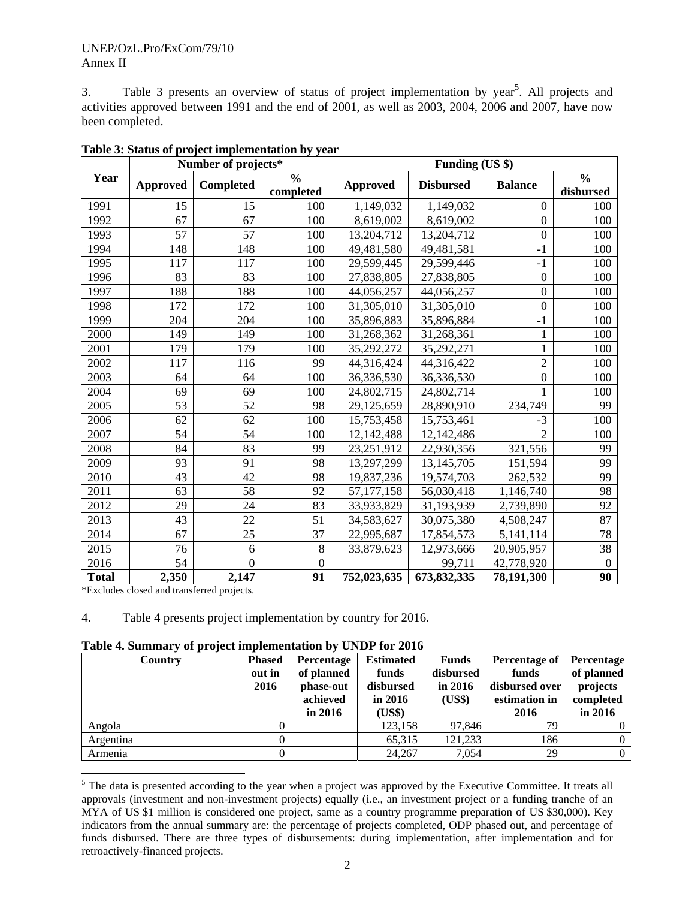3. Table 3 presents an overview of status of project implementation by year<sup>5</sup>. All projects and activities approved between 1991 and the end of 2001, as well as 2003, 2004, 2006 and 2007, have now been completed.

|              | Number of projects* |                 |                            | Funding (US \$) |                  |                  |                            |
|--------------|---------------------|-----------------|----------------------------|-----------------|------------------|------------------|----------------------------|
| Year         | <b>Approved</b>     | Completed       | $\frac{0}{0}$<br>completed | Approved        | <b>Disbursed</b> | <b>Balance</b>   | $\frac{0}{0}$<br>disbursed |
| 1991         | 15                  | 15              | 100                        | 1,149,032       | 1,149,032        | $\Omega$         | 100                        |
| 1992         | 67                  | 67              | 100                        | 8,619,002       | 8,619,002        | $\mathbf{0}$     | 100                        |
| 1993         | 57                  | 57              | 100                        | 13,204,712      | 13,204,712       | $\overline{0}$   | 100                        |
| 1994         | 148                 | 148             | 100                        | 49,481,580      | 49,481,581       | $-1$             | 100                        |
| 1995         | 117                 | 117             | 100                        | 29,599,445      | 29,599,446       | $-1$             | 100                        |
| 1996         | 83                  | 83              | 100                        | 27,838,805      | 27,838,805       | $\boldsymbol{0}$ | 100                        |
| 1997         | 188                 | 188             | 100                        | 44,056,257      | 44,056,257       | $\mathbf{0}$     | 100                        |
| 1998         | 172                 | 172             | 100                        | 31,305,010      | 31,305,010       | $\boldsymbol{0}$ | 100                        |
| 1999         | 204                 | 204             | 100                        | 35,896,883      | 35,896,884       | $-1$             | 100                        |
| 2000         | 149                 | 149             | 100                        | 31,268,362      | 31,268,361       | $\mathbf{1}$     | 100                        |
| 2001         | 179                 | 179             | 100                        | 35,292,272      | 35,292,271       | $\mathbf{1}$     | 100                        |
| 2002         | 117                 | 116             | 99                         | 44,316,424      | 44,316,422       | $\overline{2}$   | 100                        |
| 2003         | 64                  | 64              | 100                        | 36,336,530      | 36,336,530       | $\mathbf{0}$     | 100                        |
| 2004         | 69                  | 69              | 100                        | 24,802,715      | 24,802,714       | 1                | 100                        |
| 2005         | 53                  | 52              | 98                         | 29,125,659      | 28,890,910       | 234,749          | 99                         |
| 2006         | 62                  | 62              | 100                        | 15,753,458      | 15,753,461       | $-3$             | 100                        |
| 2007         | 54                  | 54              | 100                        | 12,142,488      | 12,142,486       | $\overline{2}$   | 100                        |
| 2008         | 84                  | 83              | 99                         | 23,251,912      | 22,930,356       | 321,556          | 99                         |
| 2009         | 93                  | 91              | 98                         | 13,297,299      | 13,145,705       | 151,594          | 99                         |
| 2010         | 43                  | 42              | 98                         | 19,837,236      | 19,574,703       | 262,532          | 99                         |
| 2011         | 63                  | $\overline{58}$ | 92                         | 57,177,158      | 56,030,418       | 1,146,740        | $\overline{98}$            |
| 2012         | 29                  | 24              | 83                         | 33,933,829      | 31,193,939       | 2,739,890        | 92                         |
| 2013         | 43                  | 22              | 51                         | 34,583,627      | 30,075,380       | 4,508,247        | 87                         |
| 2014         | 67                  | 25              | 37                         | 22,995,687      | 17,854,573       | 5,141,114        | 78                         |
| 2015         | 76                  | 6               | 8                          | 33,879,623      | 12,973,666       | 20,905,957       | 38                         |
| 2016         | 54                  | $\overline{0}$  | $\mathbf{0}$               |                 | 99,711           | 42,778,920       | $\boldsymbol{0}$           |
| <b>Total</b> | 2,350               | 2,147           | 91                         | 752,023,635     | 673,832,335      | 78,191,300       | 90                         |

**Table 3: Status of project implementation by year** 

\*Excludes closed and transferred projects.

l

4. Table 4 presents project implementation by country for 2016.

**Table 4. Summary of project implementation by UNDP for 2016** 

| Country   | <b>Phased</b><br>out in<br>2016 | Percentage<br>of planned<br>phase-out<br>achieved<br>in $2016$ | <b>Estimated</b><br>funds<br>disbursed<br>in $2016$<br>(US\$) | Funds<br>disbursed<br>in $2016$<br>(US\$) | Percentage of<br>funds<br>disbursed over<br>estimation in<br>2016 | Percentage<br>of planned<br>projects<br>completed<br>in $2016$ |
|-----------|---------------------------------|----------------------------------------------------------------|---------------------------------------------------------------|-------------------------------------------|-------------------------------------------------------------------|----------------------------------------------------------------|
| Angola    |                                 |                                                                | 123,158                                                       | 97,846                                    | 79                                                                |                                                                |
| Argentina |                                 |                                                                | 65,315                                                        | 121.233                                   | 186                                                               | $\Omega$                                                       |
| Armenia   |                                 |                                                                | 24,267                                                        | 7,054                                     | 29                                                                | $\Omega$                                                       |

<sup>&</sup>lt;sup>5</sup> The data is presented according to the year when a project was approved by the Executive Committee. It treats all approvals (investment and non-investment projects) equally (i.e., an investment project or a funding tranche of an MYA of US \$1 million is considered one project, same as a country programme preparation of US \$30,000). Key indicators from the annual summary are: the percentage of projects completed, ODP phased out, and percentage of funds disbursed. There are three types of disbursements: during implementation, after implementation and for retroactively-financed projects.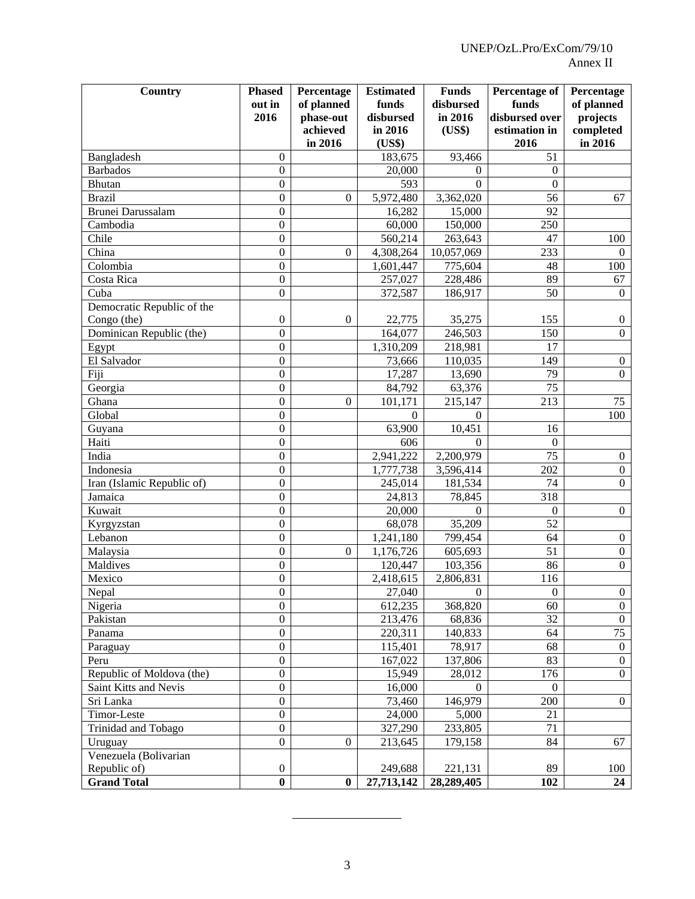| Country                    | <b>Phased</b>                    | Percentage            | <b>Estimated</b>       | <b>Funds</b>         | <b>Percentage of</b>    | Percentage                       |
|----------------------------|----------------------------------|-----------------------|------------------------|----------------------|-------------------------|----------------------------------|
|                            | out in<br>2016                   | of planned            | funds<br>disbursed     | disbursed<br>in 2016 | funds<br>disbursed over | of planned<br>projects           |
|                            |                                  | phase-out<br>achieved | in 2016                | (US\$)               | estimation in           | completed                        |
|                            |                                  | in 2016               | (US\$)                 |                      | 2016                    | in 2016                          |
| Bangladesh                 | $\Omega$                         |                       | 183,675                | 93,466               | 51                      |                                  |
| <b>Barbados</b>            | $\overline{0}$                   |                       | 20,000                 | $\Omega$             | $\theta$                |                                  |
| <b>Bhutan</b>              | $\overline{0}$                   |                       | 593                    | $\Omega$             | $\Omega$                |                                  |
| <b>Brazil</b>              | $\overline{0}$                   | $\mathbf{0}$          | $\overline{5,}972,480$ | 3,362,020            | 56                      | 67                               |
| Brunei Darussalam          | $\overline{0}$                   |                       | 16,282                 | 15,000               | 92                      |                                  |
| Cambodia                   | $\overline{0}$                   |                       | 60,000                 | 150,000              | 250                     |                                  |
| Chile                      | $\theta$                         |                       | 560,214                | 263,643              | 47                      | 100                              |
| China                      | $\overline{0}$                   | $\boldsymbol{0}$      | 4,308,264              | 10,057,069           | 233                     | $\Omega$                         |
| Colombia                   | $\overline{0}$                   |                       | 1,601,447              | 775,604              | 48                      | 100                              |
| Costa Rica                 | $\boldsymbol{0}$                 |                       | 257,027                | 228,486              | 89                      | 67                               |
| Cuba                       | $\overline{0}$                   |                       | 372,587                | 186,917              | 50                      | $\Omega$                         |
| Democratic Republic of the |                                  |                       |                        |                      |                         |                                  |
| Congo (the)                | $\mathbf{0}$                     | $\mathbf{0}$          | 22,775                 | 35,275               | 155                     | $\mathbf{0}$                     |
| Dominican Republic (the)   | $\boldsymbol{0}$                 |                       | 164,077                | 246,503              | 150                     | $\Omega$                         |
| Egypt                      | $\boldsymbol{0}$                 |                       | 1,310,209              | 218,981              | 17                      |                                  |
| El Salvador                | $\boldsymbol{0}$                 |                       | 73,666                 | 110,035              | 149                     | $\mathbf{0}$                     |
| Fiji                       | $\boldsymbol{0}$                 |                       | 17,287                 | 13,690               | 79                      | $\mathbf{0}$                     |
| Georgia                    | $\boldsymbol{0}$                 |                       | 84,792                 | 63,376               | 75                      |                                  |
| Ghana                      | $\boldsymbol{0}$                 | $\mathbf{0}$          | 101,171                | 215,147              | 213                     | 75                               |
| Global                     | $\boldsymbol{0}$                 |                       | $\Omega$               | $\Omega$             |                         | 100                              |
| Guyana                     | $\boldsymbol{0}$                 |                       | 63,900                 | 10,451               | 16                      |                                  |
| Haiti                      | $\boldsymbol{0}$                 |                       | 606                    | $\Omega$             | $\theta$                |                                  |
| India                      | $\boldsymbol{0}$                 |                       | 2,941,222              | 2,200,979            | 75                      | $\boldsymbol{0}$                 |
| Indonesia                  | $\boldsymbol{0}$                 |                       | 1,777,738              | 3,596,414            | 202                     | $\boldsymbol{0}$                 |
| Iran (Islamic Republic of) | $\boldsymbol{0}$                 |                       | 245,014                | 181,534              | 74                      | $\mathbf{0}$                     |
| Jamaica                    | $\boldsymbol{0}$                 |                       | 24,813                 | 78,845               | 318                     |                                  |
| Kuwait                     | $\boldsymbol{0}$                 |                       | 20,000                 | 0                    | $\theta$                | $\mathbf{0}$                     |
| Kyrgyzstan                 | $\boldsymbol{0}$                 |                       | 68,078                 | 35,209               | 52                      |                                  |
| Lebanon                    | $\boldsymbol{0}$                 |                       | 1,241,180              | 799,454              | 64                      | $\boldsymbol{0}$                 |
| Malaysia                   | $\boldsymbol{0}$                 | $\boldsymbol{0}$      | 1,176,726              | 605,693              | 51                      | $\boldsymbol{0}$                 |
| Maldives                   | $\boldsymbol{0}$                 |                       | 120,447                | 103,356              | 86                      | $\mathbf{0}$                     |
| Mexico                     | $\boldsymbol{0}$                 |                       | 2,418,615              | 2,806,831            | 116                     |                                  |
| Nepal                      | $\overline{0}$                   |                       | 27,040                 | $\boldsymbol{0}$     | $\boldsymbol{0}$        | $\boldsymbol{0}$                 |
| Nigeria                    | $\mathbf{0}$                     |                       | 612,235                | 368,820              | 60<br>32                | $\boldsymbol{0}$                 |
| Pakistan                   | $\boldsymbol{0}$<br>$\mathbf{0}$ |                       | 213,476                | 68,836               | 64                      | $\mathbf{0}$<br>75               |
| Panama                     | $\boldsymbol{0}$                 |                       | 220,311                | 140,833<br>78,917    | 68                      |                                  |
| Paraguay<br>Peru           | $\boldsymbol{0}$                 |                       | 115,401<br>167,022     | 137,806              | 83                      | $\mathbf{0}$<br>$\boldsymbol{0}$ |
| Republic of Moldova (the)  | $\mathbf{0}$                     |                       | 15,949                 | 28,012               | 176                     | $\overline{0}$                   |
| Saint Kitts and Nevis      | $\mathbf{0}$                     |                       | 16,000                 | $\Omega$             | $\overline{0}$          |                                  |
| Sri Lanka                  | $\boldsymbol{0}$                 |                       | 73,460                 | 146,979              | 200                     | $\overline{0}$                   |
| Timor-Leste                | $\mathbf{0}$                     |                       | 24,000                 | 5,000                | 21                      |                                  |
| Trinidad and Tobago        | $\boldsymbol{0}$                 |                       | 327,290                | 233,805              | 71                      |                                  |
| Uruguay                    | $\boldsymbol{0}$                 | $\boldsymbol{0}$      | 213,645                | 179,158              | 84                      | 67                               |
| Venezuela (Bolivarian      |                                  |                       |                        |                      |                         |                                  |
| Republic of)               | $\boldsymbol{0}$                 |                       | 249,688                | 221,131              | 89                      | 100                              |
| <b>Grand Total</b>         | $\bf{0}$                         | $\bf{0}$              | 27,713,142             | 28,289,405           | 102                     | 24                               |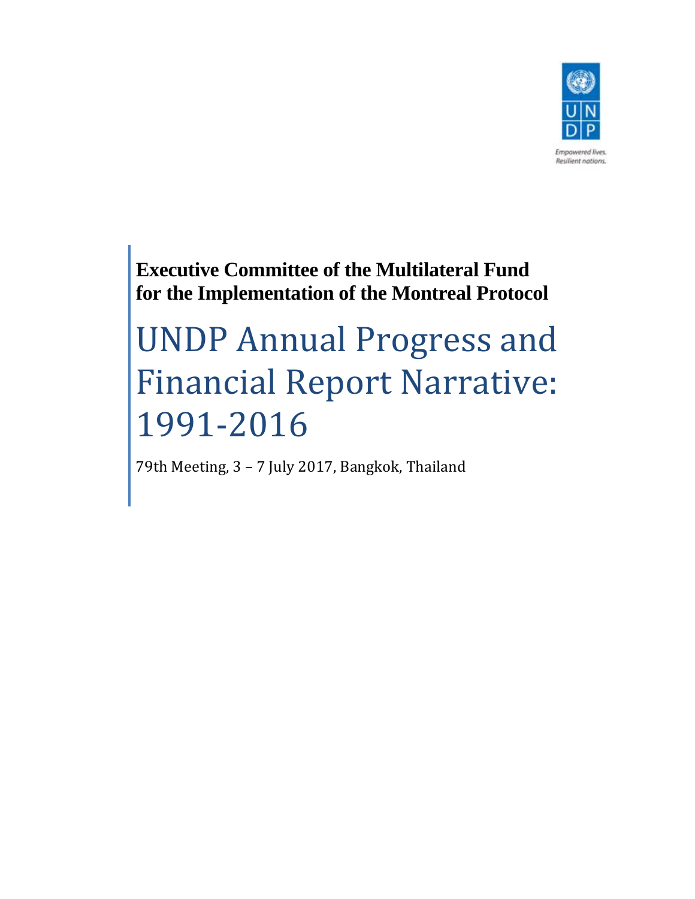

**Executive Committee of the Multilateral Fund for the Implementation of the Montreal Protocol**

# UNDP Annual Progress and Financial Report Narrative: 1991‐2016

79th Meeting, 3 - 7 July 2017, Bangkok, Thailand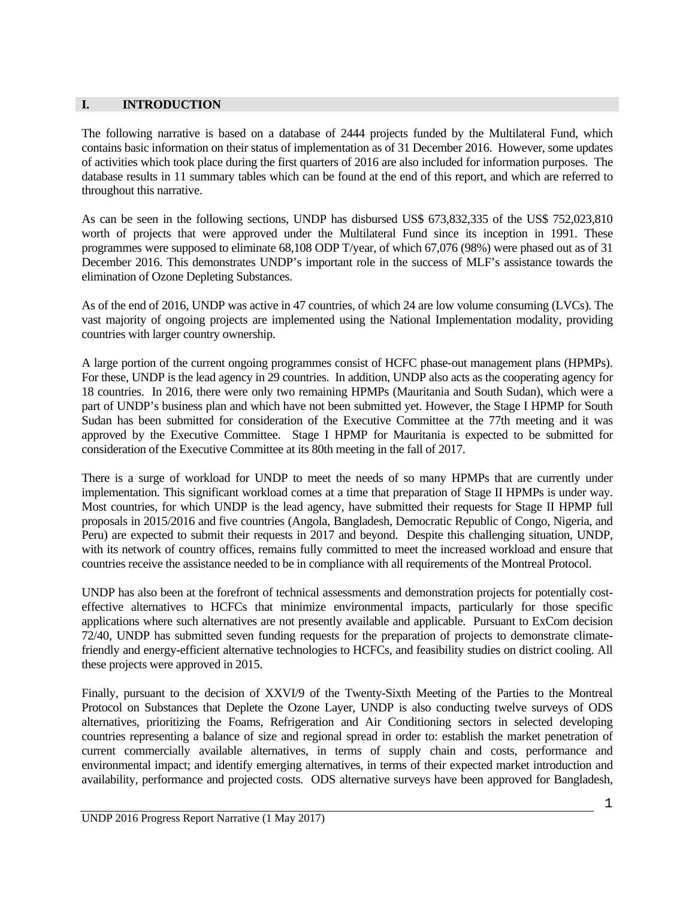#### **I. INTRODUCTION**

The following narrative is based on a database of 2444 projects funded by the Multilateral Fund, which contains basic information on their status of implementation as of 31 December 2016. However, some updates of activities which took place during the first quarters of 2016 are also included for information purposes. The database results in 11 summary tables which can be found at the end of this report, and which are referred to throughout this narrative.

As can be seen in the following sections, UNDP has disbursed US\$ 673,832,335 of the US\$ 752,023,810 worth of projects that were approved under the Multilateral Fund since its inception in 1991. These programmes were supposed to eliminate 68,108 ODP T/year, of which 67,076 (98%) were phased out as of 31 December 2016. This demonstrates UNDP's important role in the success of MLF's assistance towards the elimination of Ozone Depleting Substances.

As of the end of 2016, UNDP was active in 47 countries, of which 24 are low volume consuming (LVCs). The vast majority of ongoing projects are implemented using the National Implementation modality, providing countries with larger country ownership.

A large portion of the current ongoing programmes consist of HCFC phase-out management plans (HPMPs). For these, UNDP is the lead agency in 29 countries. In addition, UNDP also acts as the cooperating agency for 18 countries. In 2016, there were only two remaining HPMPs (Mauritania and South Sudan), which were a part of UNDP's business plan and which have not been submitted yet. However, the Stage I HPMP for South Sudan has been submitted for consideration of the Executive Committee at the 77th meeting and it was approved by the Executive Committee. Stage I HPMP for Mauritania is expected to be submitted for consideration of the Executive Committee at its 80th meeting in the fall of 2017.

There is a surge of workload for UNDP to meet the needs of so many HPMPs that are currently under implementation. This significant workload comes at a time that preparation of Stage II HPMPs is under way. Most countries, for which UNDP is the lead agency, have submitted their requests for Stage II HPMP full proposals in 2015/2016 and five countries (Angola, Bangladesh, Democratic Republic of Congo, Nigeria, and Peru) are expected to submit their requests in 2017 and beyond. Despite this challenging situation, UNDP, with its network of country offices, remains fully committed to meet the increased workload and ensure that countries receive the assistance needed to be in compliance with all requirements of the Montreal Protocol.

UNDP has also been at the forefront of technical assessments and demonstration projects for potentially costeffective alternatives to HCFCs that minimize environmental impacts, particularly for those specific applications where such alternatives are not presently available and applicable. Pursuant to ExCom decision 72/40, UNDP has submitted seven funding requests for the preparation of projects to demonstrate climatefriendly and energy-efficient alternative technologies to HCFCs, and feasibility studies on district cooling. All these projects were approved in 2015.

Finally, pursuant to the decision of XXVI/9 of the Twenty-Sixth Meeting of the Parties to the Montreal Protocol on Substances that Deplete the Ozone Layer, UNDP is also conducting twelve surveys of ODS alternatives, prioritizing the Foams, Refrigeration and Air Conditioning sectors in selected developing countries representing a balance of size and regional spread in order to: establish the market penetration of current commercially available alternatives, in terms of supply chain and costs, performance and environmental impact; and identify emerging alternatives, in terms of their expected market introduction and availability, performance and projected costs. ODS alternative surveys have been approved for Bangladesh,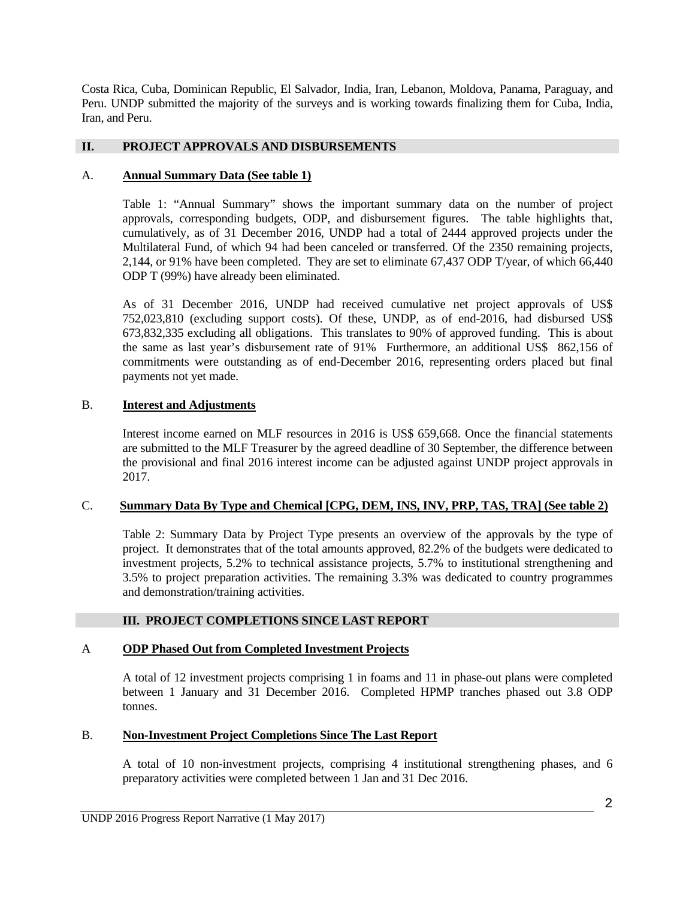Costa Rica, Cuba, Dominican Republic, El Salvador, India, Iran, Lebanon, Moldova, Panama, Paraguay, and Peru. UNDP submitted the majority of the surveys and is working towards finalizing them for Cuba, India, Iran, and Peru.

#### **II. PROJECT APPROVALS AND DISBURSEMENTS**

#### A. **Annual Summary Data (See table 1)**

Table 1: "Annual Summary" shows the important summary data on the number of project approvals, corresponding budgets, ODP, and disbursement figures. The table highlights that, cumulatively, as of 31 December 2016, UNDP had a total of 2444 approved projects under the Multilateral Fund, of which 94 had been canceled or transferred. Of the 2350 remaining projects, 2,144, or 91% have been completed. They are set to eliminate 67,437 ODP T/year, of which 66,440 ODP T (99%) have already been eliminated.

As of 31 December 2016, UNDP had received cumulative net project approvals of US\$ 752,023,810 (excluding support costs). Of these, UNDP, as of end-2016, had disbursed US\$ 673,832,335 excluding all obligations. This translates to 90% of approved funding. This is about the same as last year's disbursement rate of 91% Furthermore, an additional US\$ 862,156 of commitments were outstanding as of end-December 2016, representing orders placed but final payments not yet made.

#### B. **Interest and Adjustments**

Interest income earned on MLF resources in 2016 is US\$ 659,668. Once the financial statements are submitted to the MLF Treasurer by the agreed deadline of 30 September, the difference between the provisional and final 2016 interest income can be adjusted against UNDP project approvals in 2017.

#### C. **Summary Data By Type and Chemical [CPG, DEM, INS, INV, PRP, TAS, TRA] (See table 2)**

Table 2: Summary Data by Project Type presents an overview of the approvals by the type of project. It demonstrates that of the total amounts approved, 82.2% of the budgets were dedicated to investment projects, 5.2% to technical assistance projects, 5.7% to institutional strengthening and 3.5% to project preparation activities. The remaining 3.3% was dedicated to country programmes and demonstration/training activities.

#### **III. PROJECT COMPLETIONS SINCE LAST REPORT**

#### A **ODP Phased Out from Completed Investment Projects**

A total of 12 investment projects comprising 1 in foams and 11 in phase-out plans were completed between 1 January and 31 December 2016. Completed HPMP tranches phased out 3.8 ODP tonnes.

#### B. **Non-Investment Project Completions Since The Last Report**

A total of 10 non-investment projects, comprising 4 institutional strengthening phases, and 6 preparatory activities were completed between 1 Jan and 31 Dec 2016.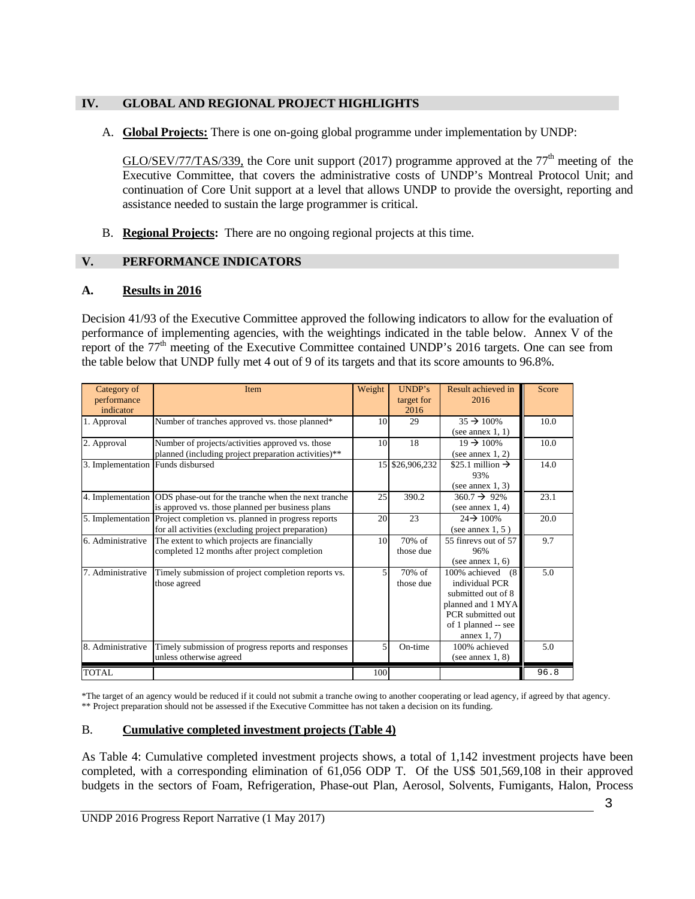#### **IV. GLOBAL AND REGIONAL PROJECT HIGHLIGHTS**

A. **Global Projects:** There is one on-going global programme under implementation by UNDP:

GLO/SEV/77/TAS/339, the Core unit support (2017) programme approved at the  $77<sup>th</sup>$  meeting of the Executive Committee, that covers the administrative costs of UNDP's Montreal Protocol Unit; and continuation of Core Unit support at a level that allows UNDP to provide the oversight, reporting and assistance needed to sustain the large programmer is critical.

B. **Regional Projects:** There are no ongoing regional projects at this time.

#### **V. PERFORMANCE INDICATORS**

#### **A. Results in 2016**

Decision 41/93 of the Executive Committee approved the following indicators to allow for the evaluation of performance of implementing agencies, with the weightings indicated in the table below. Annex V of the report of the 77<sup>th</sup> meeting of the Executive Committee contained UNDP's 2016 targets. One can see from the table below that UNDP fully met 4 out of 9 of its targets and that its score amounts to 96.8%.

| Category of<br>performance<br>indicator | Item                                                                                                                       | Weight         | UNDP's<br>target for<br>2016 | Result achieved in<br>2016                                                                                                                    | Score |
|-----------------------------------------|----------------------------------------------------------------------------------------------------------------------------|----------------|------------------------------|-----------------------------------------------------------------------------------------------------------------------------------------------|-------|
| 1. Approval                             | Number of tranches approved vs. those planned*                                                                             | 10             | 29                           | $35 \div 100\%$<br>(see annex $1, 1$ )                                                                                                        | 10.0  |
| 2. Approval                             | Number of projects/activities approved vs. those<br>planned (including project preparation activities)**                   | 10             | 18                           | $19 \div 100\%$<br>(see annex $1, 2$ )                                                                                                        | 10.0  |
| 3. Implementation Funds disbursed       |                                                                                                                            |                | 15 \$26,906,232              | \$25.1 million $\rightarrow$<br>93%<br>(see annex $1, 3$ )                                                                                    | 14.0  |
| 4. Implementation                       | ODS phase-out for the tranche when the next tranche<br>is approved vs. those planned per business plans                    | 25             | 390.2                        | $360.7 \rightarrow 92\%$<br>(see annex $1, 4$ )                                                                                               | 23.1  |
|                                         | 5. Implementation Project completion vs. planned in progress reports<br>for all activities (excluding project preparation) | 20             | 23                           | $24 \rightarrow 100\%$<br>(see annex $1, 5$ )                                                                                                 | 20.0  |
| 6. Administrative                       | The extent to which projects are financially<br>completed 12 months after project completion                               | 10             | $70%$ of<br>those due        | 55 finreys out of 57<br>96%<br>(see annex $1, 6$ )                                                                                            | 9.7   |
| 7. Administrative                       | Timely submission of project completion reports vs.<br>those agreed                                                        | $\overline{5}$ | $70%$ of<br>those due        | 100% achieved<br>(8)<br>individual PCR<br>submitted out of 8<br>planned and 1 MYA<br>PCR submitted out<br>of 1 planned -- see<br>annex $1, 7$ | 5.0   |
| 8. Administrative                       | Timely submission of progress reports and responses<br>unless otherwise agreed                                             | 5              | On-time                      | 100% achieved<br>(see annex $1, 8$ )                                                                                                          | 5.0   |
| TOTAL                                   |                                                                                                                            | 100            |                              |                                                                                                                                               | 96.8  |

\*The target of an agency would be reduced if it could not submit a tranche owing to another cooperating or lead agency, if agreed by that agency. \*\* Project preparation should not be assessed if the Executive Committee has not taken a decision on its funding.

# B. **Cumulative completed investment projects (Table 4)**

As Table 4: Cumulative completed investment projects shows, a total of 1,142 investment projects have been completed, with a corresponding elimination of 61,056 ODP T. Of the US\$ 501,569,108 in their approved budgets in the sectors of Foam, Refrigeration, Phase-out Plan, Aerosol, Solvents, Fumigants, Halon, Process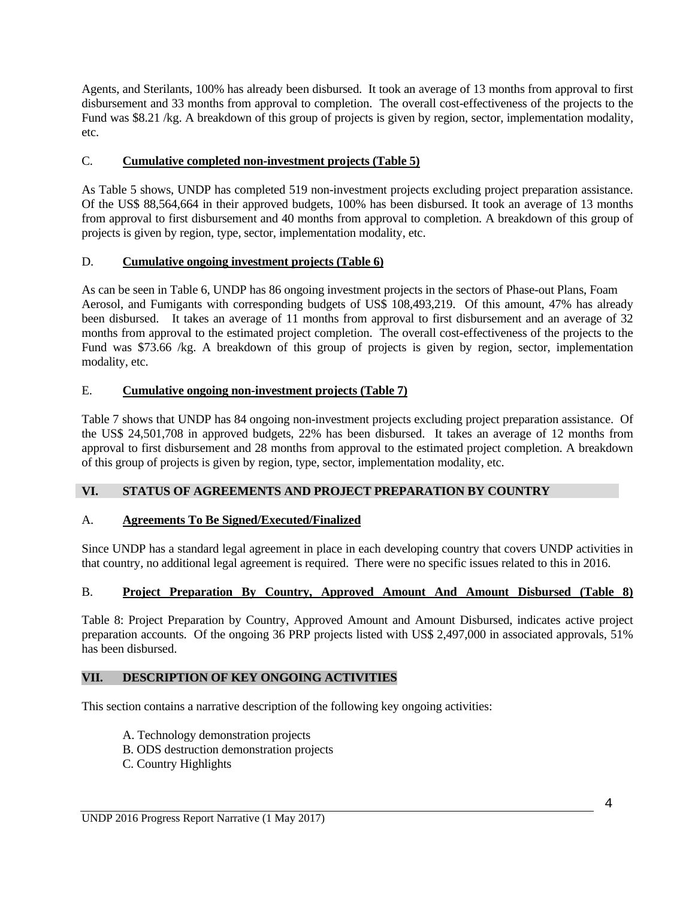Agents, and Sterilants, 100% has already been disbursed. It took an average of 13 months from approval to first disbursement and 33 months from approval to completion. The overall cost-effectiveness of the projects to the Fund was \$8.21 /kg. A breakdown of this group of projects is given by region, sector, implementation modality, etc.

#### C. **Cumulative completed non-investment projects (Table 5)**

As Table 5 shows, UNDP has completed 519 non-investment projects excluding project preparation assistance. Of the US\$ 88,564,664 in their approved budgets, 100% has been disbursed. It took an average of 13 months from approval to first disbursement and 40 months from approval to completion. A breakdown of this group of projects is given by region, type, sector, implementation modality, etc.

#### D. **Cumulative ongoing investment projects (Table 6)**

As can be seen in Table 6, UNDP has 86 ongoing investment projects in the sectors of Phase-out Plans, Foam Aerosol, and Fumigants with corresponding budgets of US\$ 108,493,219. Of this amount, 47% has already been disbursed. It takes an average of 11 months from approval to first disbursement and an average of 32 months from approval to the estimated project completion. The overall cost-effectiveness of the projects to the Fund was \$73.66 /kg. A breakdown of this group of projects is given by region, sector, implementation modality, etc.

#### E. **Cumulative ongoing non-investment projects (Table 7)**

Table 7 shows that UNDP has 84 ongoing non-investment projects excluding project preparation assistance. Of the US\$ 24,501,708 in approved budgets, 22% has been disbursed. It takes an average of 12 months from approval to first disbursement and 28 months from approval to the estimated project completion. A breakdown of this group of projects is given by region, type, sector, implementation modality, etc.

#### **VI. STATUS OF AGREEMENTS AND PROJECT PREPARATION BY COUNTRY**

#### A. **Agreements To Be Signed/Executed/Finalized**

Since UNDP has a standard legal agreement in place in each developing country that covers UNDP activities in that country, no additional legal agreement is required. There were no specific issues related to this in 2016.

#### B. **Project Preparation By Country, Approved Amount And Amount Disbursed (Table 8)**

Table 8: Project Preparation by Country, Approved Amount and Amount Disbursed, indicates active project preparation accounts. Of the ongoing 36 PRP projects listed with US\$ 2,497,000 in associated approvals, 51% has been disbursed.

#### **VII. DESCRIPTION OF KEY ONGOING ACTIVITIES**

This section contains a narrative description of the following key ongoing activities:

- A. Technology demonstration projects
- B. ODS destruction demonstration projects
- C. Country Highlights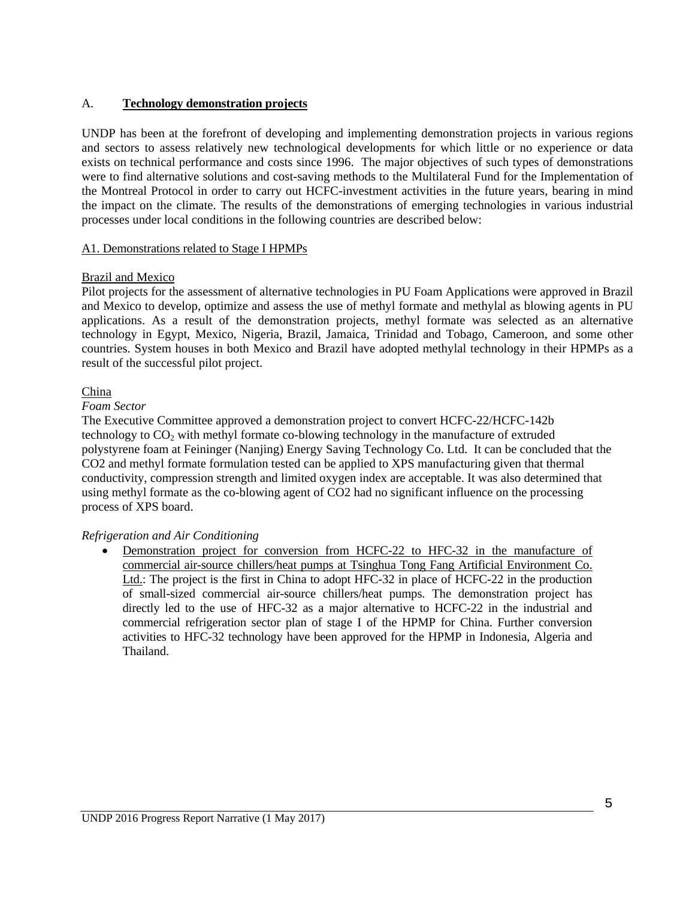#### A. **Technology demonstration projects**

UNDP has been at the forefront of developing and implementing demonstration projects in various regions and sectors to assess relatively new technological developments for which little or no experience or data exists on technical performance and costs since 1996. The major objectives of such types of demonstrations were to find alternative solutions and cost-saving methods to the Multilateral Fund for the Implementation of the Montreal Protocol in order to carry out HCFC-investment activities in the future years, bearing in mind the impact on the climate. The results of the demonstrations of emerging technologies in various industrial processes under local conditions in the following countries are described below:

#### A1. Demonstrations related to Stage I HPMPs

#### Brazil and Mexico

Pilot projects for the assessment of alternative technologies in PU Foam Applications were approved in Brazil and Mexico to develop, optimize and assess the use of methyl formate and methylal as blowing agents in PU applications. As a result of the demonstration projects, methyl formate was selected as an alternative technology in Egypt, Mexico, Nigeria, Brazil, Jamaica, Trinidad and Tobago, Cameroon, and some other countries. System houses in both Mexico and Brazil have adopted methylal technology in their HPMPs as a result of the successful pilot project.

#### China

#### *Foam Sector*

The Executive Committee approved a demonstration project to convert HCFC-22/HCFC-142b technology to CO2 with methyl formate co-blowing technology in the manufacture of extruded polystyrene foam at Feininger (Nanjing) Energy Saving Technology Co. Ltd. It can be concluded that the CO2 and methyl formate formulation tested can be applied to XPS manufacturing given that thermal conductivity, compression strength and limited oxygen index are acceptable. It was also determined that using methyl formate as the co-blowing agent of CO2 had no significant influence on the processing process of XPS board.

#### *Refrigeration and Air Conditioning*

Demonstration project for conversion from HCFC-22 to HFC-32 in the manufacture of commercial air-source chillers/heat pumps at Tsinghua Tong Fang Artificial Environment Co. Ltd.: The project is the first in China to adopt HFC-32 in place of HCFC-22 in the production of small-sized commercial air-source chillers/heat pumps. The demonstration project has directly led to the use of HFC-32 as a major alternative to HCFC-22 in the industrial and commercial refrigeration sector plan of stage I of the HPMP for China. Further conversion activities to HFC-32 technology have been approved for the HPMP in Indonesia, Algeria and Thailand.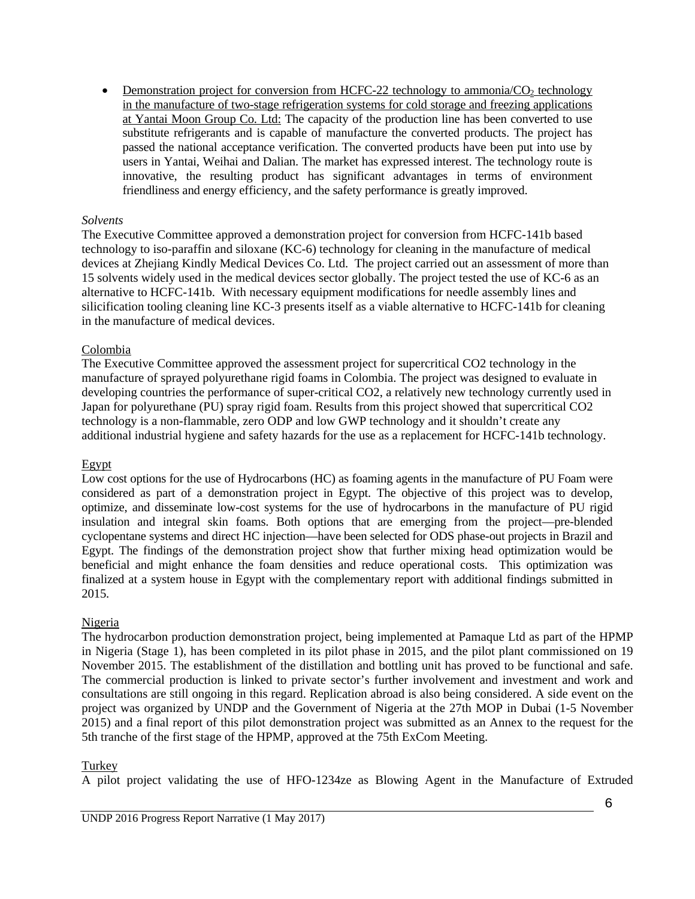• Demonstration project for conversion from HCFC-22 technology to ammonia/CO<sub>2</sub> technology in the manufacture of two-stage refrigeration systems for cold storage and freezing applications at Yantai Moon Group Co. Ltd: The capacity of the production line has been converted to use substitute refrigerants and is capable of manufacture the converted products. The project has passed the national acceptance verification. The converted products have been put into use by users in Yantai, Weihai and Dalian. The market has expressed interest. The technology route is innovative, the resulting product has significant advantages in terms of environment friendliness and energy efficiency, and the safety performance is greatly improved.

#### *Solvents*

The Executive Committee approved a demonstration project for conversion from HCFC-141b based technology to iso-paraffin and siloxane (KC-6) technology for cleaning in the manufacture of medical devices at Zhejiang Kindly Medical Devices Co. Ltd. The project carried out an assessment of more than 15 solvents widely used in the medical devices sector globally. The project tested the use of KC-6 as an alternative to HCFC-141b. With necessary equipment modifications for needle assembly lines and silicification tooling cleaning line KC-3 presents itself as a viable alternative to HCFC-141b for cleaning in the manufacture of medical devices.

#### Colombia

The Executive Committee approved the assessment project for supercritical CO2 technology in the manufacture of sprayed polyurethane rigid foams in Colombia. The project was designed to evaluate in developing countries the performance of super-critical CO2, a relatively new technology currently used in Japan for polyurethane (PU) spray rigid foam. Results from this project showed that supercritical CO2 technology is a non-flammable, zero ODP and low GWP technology and it shouldn't create any additional industrial hygiene and safety hazards for the use as a replacement for HCFC-141b technology.

#### Egypt

Low cost options for the use of Hydrocarbons (HC) as foaming agents in the manufacture of PU Foam were considered as part of a demonstration project in Egypt. The objective of this project was to develop, optimize, and disseminate low-cost systems for the use of hydrocarbons in the manufacture of PU rigid insulation and integral skin foams. Both options that are emerging from the project—pre-blended cyclopentane systems and direct HC injection—have been selected for ODS phase-out projects in Brazil and Egypt. The findings of the demonstration project show that further mixing head optimization would be beneficial and might enhance the foam densities and reduce operational costs. This optimization was finalized at a system house in Egypt with the complementary report with additional findings submitted in 2015.

#### Nigeria

The hydrocarbon production demonstration project, being implemented at Pamaque Ltd as part of the HPMP in Nigeria (Stage 1), has been completed in its pilot phase in 2015, and the pilot plant commissioned on 19 November 2015. The establishment of the distillation and bottling unit has proved to be functional and safe. The commercial production is linked to private sector's further involvement and investment and work and consultations are still ongoing in this regard. Replication abroad is also being considered. A side event on the project was organized by UNDP and the Government of Nigeria at the 27th MOP in Dubai (1-5 November 2015) and a final report of this pilot demonstration project was submitted as an Annex to the request for the 5th tranche of the first stage of the HPMP, approved at the 75th ExCom Meeting.

#### Turkey

A pilot project validating the use of HFO-1234ze as Blowing Agent in the Manufacture of Extruded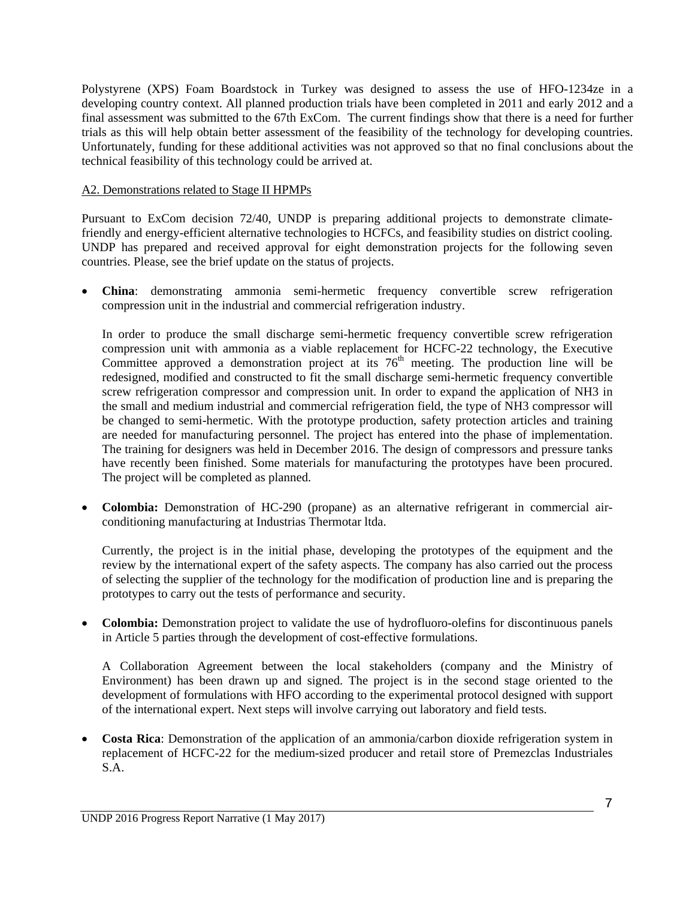Polystyrene (XPS) Foam Boardstock in Turkey was designed to assess the use of HFO-1234ze in a developing country context. All planned production trials have been completed in 2011 and early 2012 and a final assessment was submitted to the 67th ExCom. The current findings show that there is a need for further trials as this will help obtain better assessment of the feasibility of the technology for developing countries. Unfortunately, funding for these additional activities was not approved so that no final conclusions about the technical feasibility of this technology could be arrived at.

#### A2. Demonstrations related to Stage II HPMPs

Pursuant to ExCom decision 72/40, UNDP is preparing additional projects to demonstrate climatefriendly and energy-efficient alternative technologies to HCFCs, and feasibility studies on district cooling. UNDP has prepared and received approval for eight demonstration projects for the following seven countries. Please, see the brief update on the status of projects.

 **China**: demonstrating ammonia semi-hermetic frequency convertible screw refrigeration compression unit in the industrial and commercial refrigeration industry.

In order to produce the small discharge semi-hermetic frequency convertible screw refrigeration compression unit with ammonia as a viable replacement for HCFC-22 technology, the Executive Committee approved a demonstration project at its  $76<sup>th</sup>$  meeting. The production line will be redesigned, modified and constructed to fit the small discharge semi-hermetic frequency convertible screw refrigeration compressor and compression unit. In order to expand the application of NH3 in the small and medium industrial and commercial refrigeration field, the type of NH3 compressor will be changed to semi-hermetic. With the prototype production, safety protection articles and training are needed for manufacturing personnel. The project has entered into the phase of implementation. The training for designers was held in December 2016. The design of compressors and pressure tanks have recently been finished. Some materials for manufacturing the prototypes have been procured. The project will be completed as planned.

 **Colombia:** Demonstration of HC-290 (propane) as an alternative refrigerant in commercial airconditioning manufacturing at Industrias Thermotar ltda.

Currently, the project is in the initial phase, developing the prototypes of the equipment and the review by the international expert of the safety aspects. The company has also carried out the process of selecting the supplier of the technology for the modification of production line and is preparing the prototypes to carry out the tests of performance and security.

 **Colombia:** Demonstration project to validate the use of hydrofluoro-olefins for discontinuous panels in Article 5 parties through the development of cost-effective formulations.

A Collaboration Agreement between the local stakeholders (company and the Ministry of Environment) has been drawn up and signed. The project is in the second stage oriented to the development of formulations with HFO according to the experimental protocol designed with support of the international expert. Next steps will involve carrying out laboratory and field tests.

**Costa Rica**: Demonstration of the application of an ammonia/carbon dioxide refrigeration system in replacement of HCFC-22 for the medium-sized producer and retail store of Premezclas Industriales S.A.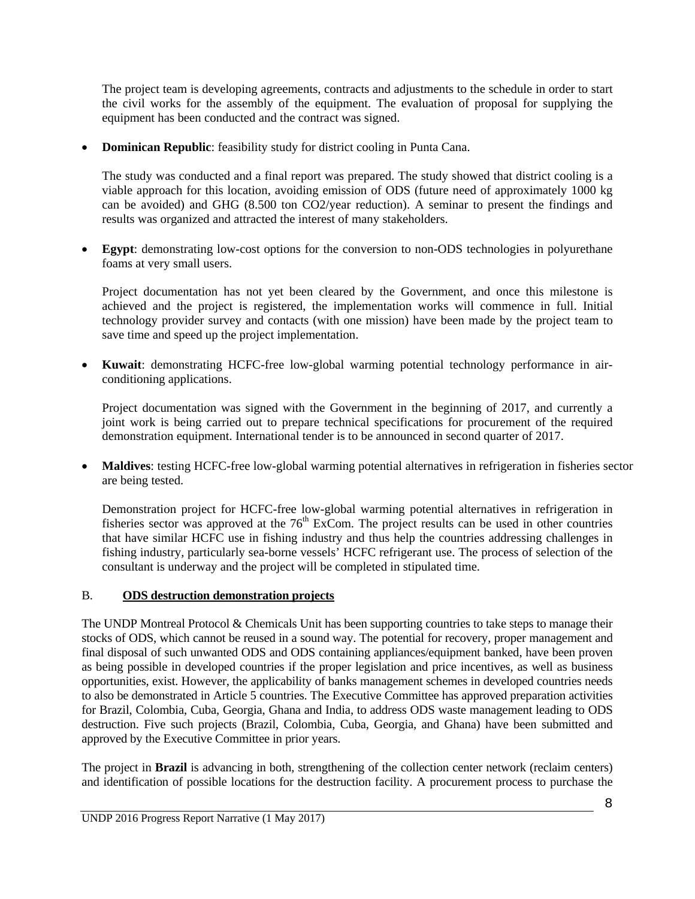The project team is developing agreements, contracts and adjustments to the schedule in order to start the civil works for the assembly of the equipment. The evaluation of proposal for supplying the equipment has been conducted and the contract was signed.

**Dominican Republic**: feasibility study for district cooling in Punta Cana.

The study was conducted and a final report was prepared. The study showed that district cooling is a viable approach for this location, avoiding emission of ODS (future need of approximately 1000 kg can be avoided) and GHG (8.500 ton CO2/year reduction). A seminar to present the findings and results was organized and attracted the interest of many stakeholders.

 **Egypt**: demonstrating low-cost options for the conversion to non-ODS technologies in polyurethane foams at very small users.

Project documentation has not yet been cleared by the Government, and once this milestone is achieved and the project is registered, the implementation works will commence in full. Initial technology provider survey and contacts (with one mission) have been made by the project team to save time and speed up the project implementation.

 **Kuwait**: demonstrating HCFC-free low-global warming potential technology performance in airconditioning applications.

Project documentation was signed with the Government in the beginning of 2017, and currently a joint work is being carried out to prepare technical specifications for procurement of the required demonstration equipment. International tender is to be announced in second quarter of 2017.

 **Maldives**: testing HCFC-free low-global warming potential alternatives in refrigeration in fisheries sector are being tested.

Demonstration project for HCFC-free low-global warming potential alternatives in refrigeration in fisheries sector was approved at the  $76<sup>th</sup>$  ExCom. The project results can be used in other countries that have similar HCFC use in fishing industry and thus help the countries addressing challenges in fishing industry, particularly sea-borne vessels' HCFC refrigerant use. The process of selection of the consultant is underway and the project will be completed in stipulated time.

#### B. **ODS destruction demonstration projects**

The UNDP Montreal Protocol & Chemicals Unit has been supporting countries to take steps to manage their stocks of ODS, which cannot be reused in a sound way. The potential for recovery, proper management and final disposal of such unwanted ODS and ODS containing appliances/equipment banked, have been proven as being possible in developed countries if the proper legislation and price incentives, as well as business opportunities, exist. However, the applicability of banks management schemes in developed countries needs to also be demonstrated in Article 5 countries. The Executive Committee has approved preparation activities for Brazil, Colombia, Cuba, Georgia, Ghana and India, to address ODS waste management leading to ODS destruction. Five such projects (Brazil, Colombia, Cuba, Georgia, and Ghana) have been submitted and approved by the Executive Committee in prior years.

The project in **Brazil** is advancing in both, strengthening of the collection center network (reclaim centers) and identification of possible locations for the destruction facility. A procurement process to purchase the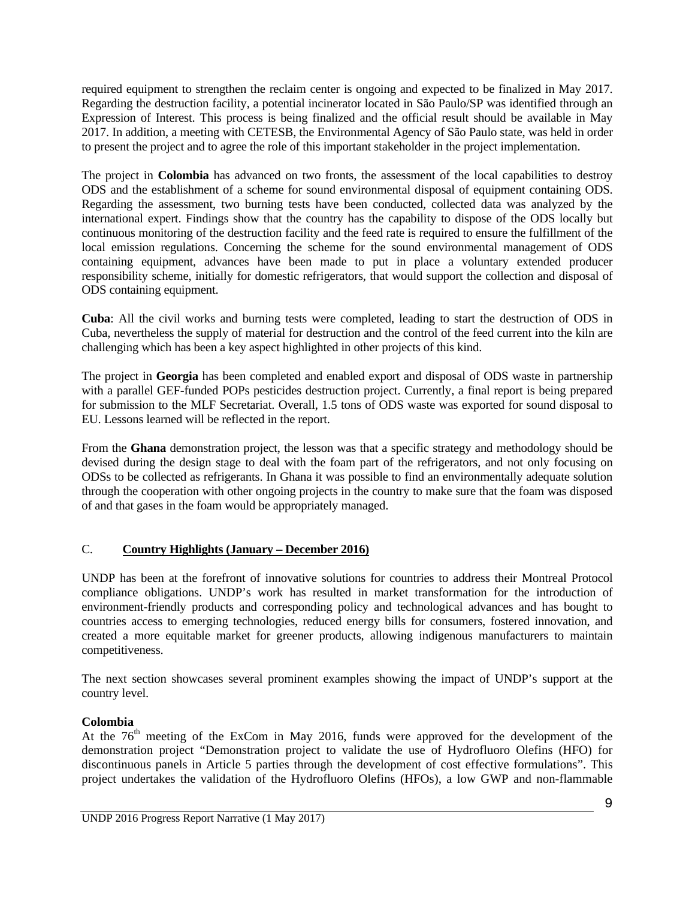required equipment to strengthen the reclaim center is ongoing and expected to be finalized in May 2017. Regarding the destruction facility, a potential incinerator located in São Paulo/SP was identified through an Expression of Interest. This process is being finalized and the official result should be available in May 2017. In addition, a meeting with CETESB, the Environmental Agency of São Paulo state, was held in order to present the project and to agree the role of this important stakeholder in the project implementation.

The project in **Colombia** has advanced on two fronts, the assessment of the local capabilities to destroy ODS and the establishment of a scheme for sound environmental disposal of equipment containing ODS. Regarding the assessment, two burning tests have been conducted, collected data was analyzed by the international expert. Findings show that the country has the capability to dispose of the ODS locally but continuous monitoring of the destruction facility and the feed rate is required to ensure the fulfillment of the local emission regulations. Concerning the scheme for the sound environmental management of ODS containing equipment, advances have been made to put in place a voluntary extended producer responsibility scheme, initially for domestic refrigerators, that would support the collection and disposal of ODS containing equipment.

**Cuba**: All the civil works and burning tests were completed, leading to start the destruction of ODS in Cuba, nevertheless the supply of material for destruction and the control of the feed current into the kiln are challenging which has been a key aspect highlighted in other projects of this kind.

The project in **Georgia** has been completed and enabled export and disposal of ODS waste in partnership with a parallel GEF-funded POPs pesticides destruction project. Currently, a final report is being prepared for submission to the MLF Secretariat. Overall, 1.5 tons of ODS waste was exported for sound disposal to EU. Lessons learned will be reflected in the report.

From the **Ghana** demonstration project, the lesson was that a specific strategy and methodology should be devised during the design stage to deal with the foam part of the refrigerators, and not only focusing on ODSs to be collected as refrigerants. In Ghana it was possible to find an environmentally adequate solution through the cooperation with other ongoing projects in the country to make sure that the foam was disposed of and that gases in the foam would be appropriately managed.

# C. **Country Highlights (January – December 2016)**

UNDP has been at the forefront of innovative solutions for countries to address their Montreal Protocol compliance obligations. UNDP's work has resulted in market transformation for the introduction of environment-friendly products and corresponding policy and technological advances and has bought to countries access to emerging technologies, reduced energy bills for consumers, fostered innovation, and created a more equitable market for greener products, allowing indigenous manufacturers to maintain competitiveness.

The next section showcases several prominent examples showing the impact of UNDP's support at the country level.

#### **Colombia**

At the  $76<sup>th</sup>$  meeting of the ExCom in May 2016, funds were approved for the development of the demonstration project "Demonstration project to validate the use of Hydrofluoro Olefins (HFO) for discontinuous panels in Article 5 parties through the development of cost effective formulations". This project undertakes the validation of the Hydrofluoro Olefins (HFOs), a low GWP and non-flammable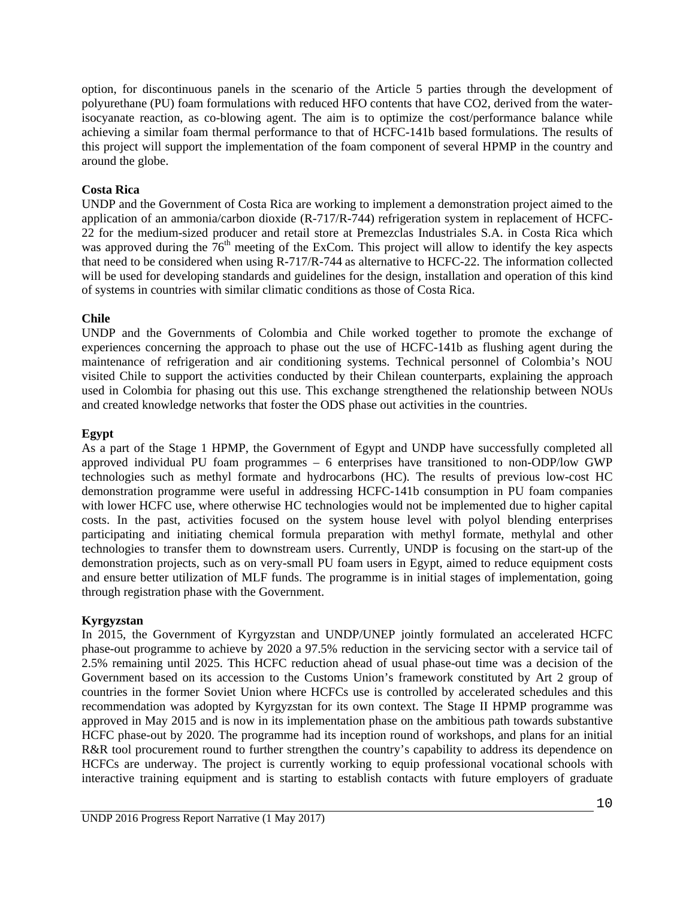option, for discontinuous panels in the scenario of the Article 5 parties through the development of polyurethane (PU) foam formulations with reduced HFO contents that have CO2, derived from the waterisocyanate reaction, as co-blowing agent. The aim is to optimize the cost/performance balance while achieving a similar foam thermal performance to that of HCFC-141b based formulations. The results of this project will support the implementation of the foam component of several HPMP in the country and around the globe.

#### **Costa Rica**

UNDP and the Government of Costa Rica are working to implement a demonstration project aimed to the application of an ammonia/carbon dioxide (R-717/R-744) refrigeration system in replacement of HCFC-22 for the medium-sized producer and retail store at Premezclas Industriales S.A. in Costa Rica which was approved during the  $76<sup>th</sup>$  meeting of the ExCom. This project will allow to identify the key aspects that need to be considered when using R-717/R-744 as alternative to HCFC-22. The information collected will be used for developing standards and guidelines for the design, installation and operation of this kind of systems in countries with similar climatic conditions as those of Costa Rica.

#### **Chile**

UNDP and the Governments of Colombia and Chile worked together to promote the exchange of experiences concerning the approach to phase out the use of HCFC-141b as flushing agent during the maintenance of refrigeration and air conditioning systems. Technical personnel of Colombia's NOU visited Chile to support the activities conducted by their Chilean counterparts, explaining the approach used in Colombia for phasing out this use. This exchange strengthened the relationship between NOUs and created knowledge networks that foster the ODS phase out activities in the countries.

#### **Egypt**

As a part of the Stage 1 HPMP, the Government of Egypt and UNDP have successfully completed all approved individual PU foam programmes – 6 enterprises have transitioned to non-ODP/low GWP technologies such as methyl formate and hydrocarbons (HC). The results of previous low-cost HC demonstration programme were useful in addressing HCFC-141b consumption in PU foam companies with lower HCFC use, where otherwise HC technologies would not be implemented due to higher capital costs. In the past, activities focused on the system house level with polyol blending enterprises participating and initiating chemical formula preparation with methyl formate, methylal and other technologies to transfer them to downstream users. Currently, UNDP is focusing on the start-up of the demonstration projects, such as on very-small PU foam users in Egypt, aimed to reduce equipment costs and ensure better utilization of MLF funds. The programme is in initial stages of implementation, going through registration phase with the Government.

#### **Kyrgyzstan**

In 2015, the Government of Kyrgyzstan and UNDP/UNEP jointly formulated an accelerated HCFC phase-out programme to achieve by 2020 a 97.5% reduction in the servicing sector with a service tail of 2.5% remaining until 2025. This HCFC reduction ahead of usual phase-out time was a decision of the Government based on its accession to the Customs Union's framework constituted by Art 2 group of countries in the former Soviet Union where HCFCs use is controlled by accelerated schedules and this recommendation was adopted by Kyrgyzstan for its own context. The Stage II HPMP programme was approved in May 2015 and is now in its implementation phase on the ambitious path towards substantive HCFC phase-out by 2020. The programme had its inception round of workshops, and plans for an initial R&R tool procurement round to further strengthen the country's capability to address its dependence on HCFCs are underway. The project is currently working to equip professional vocational schools with interactive training equipment and is starting to establish contacts with future employers of graduate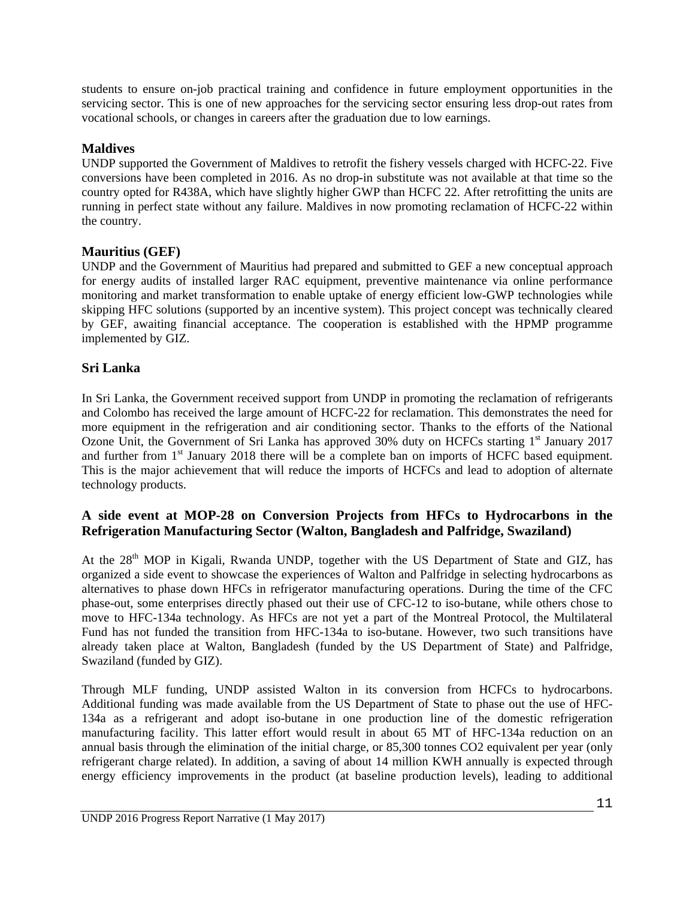students to ensure on-job practical training and confidence in future employment opportunities in the servicing sector. This is one of new approaches for the servicing sector ensuring less drop-out rates from vocational schools, or changes in careers after the graduation due to low earnings.

### **Maldives**

UNDP supported the Government of Maldives to retrofit the fishery vessels charged with HCFC-22. Five conversions have been completed in 2016. As no drop-in substitute was not available at that time so the country opted for R438A, which have slightly higher GWP than HCFC 22. After retrofitting the units are running in perfect state without any failure. Maldives in now promoting reclamation of HCFC-22 within the country.

#### **Mauritius (GEF)**

UNDP and the Government of Mauritius had prepared and submitted to GEF a new conceptual approach for energy audits of installed larger RAC equipment, preventive maintenance via online performance monitoring and market transformation to enable uptake of energy efficient low-GWP technologies while skipping HFC solutions (supported by an incentive system). This project concept was technically cleared by GEF, awaiting financial acceptance. The cooperation is established with the HPMP programme implemented by GIZ.

# **Sri Lanka**

In Sri Lanka, the Government received support from UNDP in promoting the reclamation of refrigerants and Colombo has received the large amount of HCFC-22 for reclamation. This demonstrates the need for more equipment in the refrigeration and air conditioning sector. Thanks to the efforts of the National Ozone Unit, the Government of Sri Lanka has approved 30% duty on HCFCs starting 1<sup>st</sup> January 2017 and further from 1<sup>st</sup> January 2018 there will be a complete ban on imports of HCFC based equipment. This is the major achievement that will reduce the imports of HCFCs and lead to adoption of alternate technology products.

# **A side event at MOP-28 on Conversion Projects from HFCs to Hydrocarbons in the Refrigeration Manufacturing Sector (Walton, Bangladesh and Palfridge, Swaziland)**

At the 28<sup>th</sup> MOP in Kigali, Rwanda UNDP, together with the US Department of State and GIZ, has organized a side event to showcase the experiences of Walton and Palfridge in selecting hydrocarbons as alternatives to phase down HFCs in refrigerator manufacturing operations. During the time of the CFC phase-out, some enterprises directly phased out their use of CFC-12 to iso-butane, while others chose to move to HFC-134a technology. As HFCs are not yet a part of the Montreal Protocol, the Multilateral Fund has not funded the transition from HFC-134a to iso-butane. However, two such transitions have already taken place at Walton, Bangladesh (funded by the US Department of State) and Palfridge, Swaziland (funded by GIZ).

Through MLF funding, UNDP assisted Walton in its conversion from HCFCs to hydrocarbons. Additional funding was made available from the US Department of State to phase out the use of HFC-134a as a refrigerant and adopt iso-butane in one production line of the domestic refrigeration manufacturing facility. This latter effort would result in about 65 MT of HFC-134a reduction on an annual basis through the elimination of the initial charge, or 85,300 tonnes CO2 equivalent per year (only refrigerant charge related). In addition, a saving of about 14 million KWH annually is expected through energy efficiency improvements in the product (at baseline production levels), leading to additional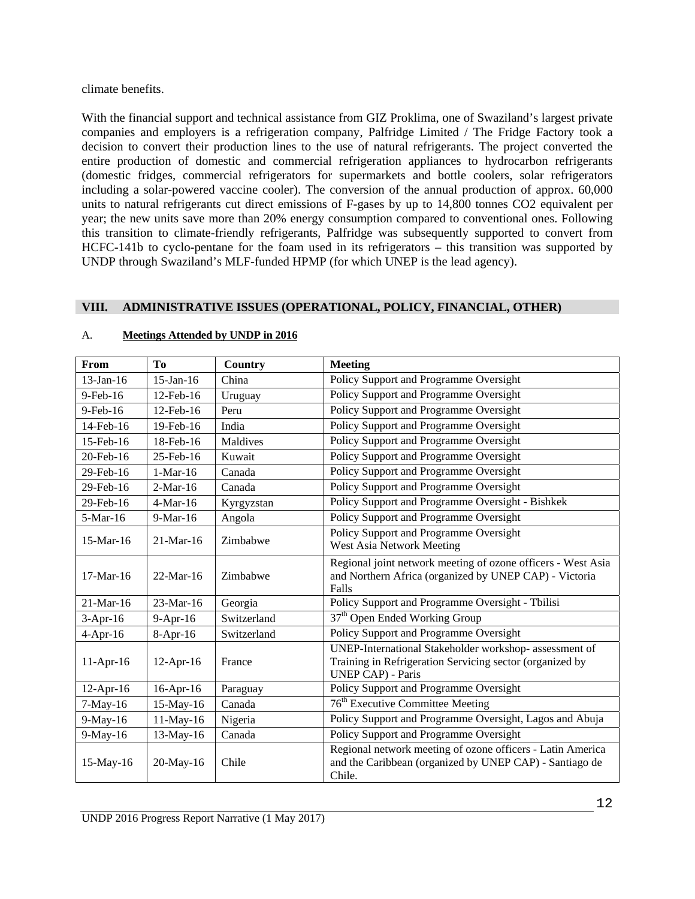climate benefits.

With the financial support and technical assistance from GIZ Proklima, one of Swaziland's largest private companies and employers is a refrigeration company, Palfridge Limited / The Fridge Factory took a decision to convert their production lines to the use of natural refrigerants. The project converted the entire production of domestic and commercial refrigeration appliances to hydrocarbon refrigerants (domestic fridges, commercial refrigerators for supermarkets and bottle coolers, solar refrigerators including a solar-powered vaccine cooler). The conversion of the annual production of approx. 60,000 units to natural refrigerants cut direct emissions of F-gases by up to 14,800 tonnes CO2 equivalent per year; the new units save more than 20% energy consumption compared to conventional ones. Following this transition to climate-friendly refrigerants, Palfridge was subsequently supported to convert from HCFC-141b to cyclo-pentane for the foam used in its refrigerators – this transition was supported by UNDP through Swaziland's MLF-funded HPMP (for which UNEP is the lead agency).

#### **VIII. ADMINISTRATIVE ISSUES (OPERATIONAL, POLICY, FINANCIAL, OTHER)**

| From         | T <sub>0</sub>  | Country     | <b>Meeting</b>                                                                                                                                 |
|--------------|-----------------|-------------|------------------------------------------------------------------------------------------------------------------------------------------------|
| 13-Jan-16    | $15$ -Jan-16    | China       | Policy Support and Programme Oversight                                                                                                         |
| $9$ -Feb-16  | 12-Feb-16       | Uruguay     | Policy Support and Programme Oversight                                                                                                         |
| 9-Feb-16     | 12-Feb-16       | Peru        | Policy Support and Programme Oversight                                                                                                         |
| 14-Feb-16    | 19-Feb-16       | India       | Policy Support and Programme Oversight                                                                                                         |
| 15-Feb-16    | 18-Feb-16       | Maldives    | Policy Support and Programme Oversight                                                                                                         |
| 20-Feb-16    | 25-Feb-16       | Kuwait      | Policy Support and Programme Oversight                                                                                                         |
| 29-Feb-16    | $1-Mar-16$      | Canada      | Policy Support and Programme Oversight                                                                                                         |
| 29-Feb-16    | $2-Mar-16$      | Canada      | Policy Support and Programme Oversight                                                                                                         |
| 29-Feb-16    | $4-Mar-16$      | Kyrgyzstan  | Policy Support and Programme Oversight - Bishkek                                                                                               |
| 5-Mar-16     | 9-Mar-16        | Angola      | Policy Support and Programme Oversight                                                                                                         |
| 15-Mar-16    | $21-Mar-16$     | Zimbabwe    | Policy Support and Programme Oversight<br>West Asia Network Meeting                                                                            |
| $17-Mar-16$  | $22-Mar-16$     | Zimbabwe    | Regional joint network meeting of ozone officers - West Asia<br>and Northern Africa (organized by UNEP CAP) - Victoria<br>Falls                |
| $21-Mar-16$  | $23-Mar-16$     | Georgia     | Policy Support and Programme Oversight - Tbilisi                                                                                               |
| $3-Apr-16$   | $9-Apr-16$      | Switzerland | 37 <sup>th</sup> Open Ended Working Group                                                                                                      |
| $4-Apr-16$   | $8-Apr-16$      | Switzerland | Policy Support and Programme Oversight                                                                                                         |
| $11-Apr-16$  | $12-Apr-16$     | France      | UNEP-International Stakeholder workshop- assessment of<br>Training in Refrigeration Servicing sector (organized by<br><b>UNEP CAP)</b> - Paris |
| 12-Apr-16    | $16$ -Apr- $16$ | Paraguay    | Policy Support and Programme Oversight                                                                                                         |
| $7-May-16$   | $15$ -May-16    | Canada      | 76 <sup>th</sup> Executive Committee Meeting                                                                                                   |
| 9-May-16     | 11-May-16       | Nigeria     | Policy Support and Programme Oversight, Lagos and Abuja                                                                                        |
| 9-May-16     | 13-May-16       | Canada      | Policy Support and Programme Oversight                                                                                                         |
| $15$ -May-16 | 20-May-16       | Chile       | Regional network meeting of ozone officers - Latin America<br>and the Caribbean (organized by UNEP CAP) - Santiago de<br>Chile.                |

#### A. **Meetings Attended by UNDP in 2016**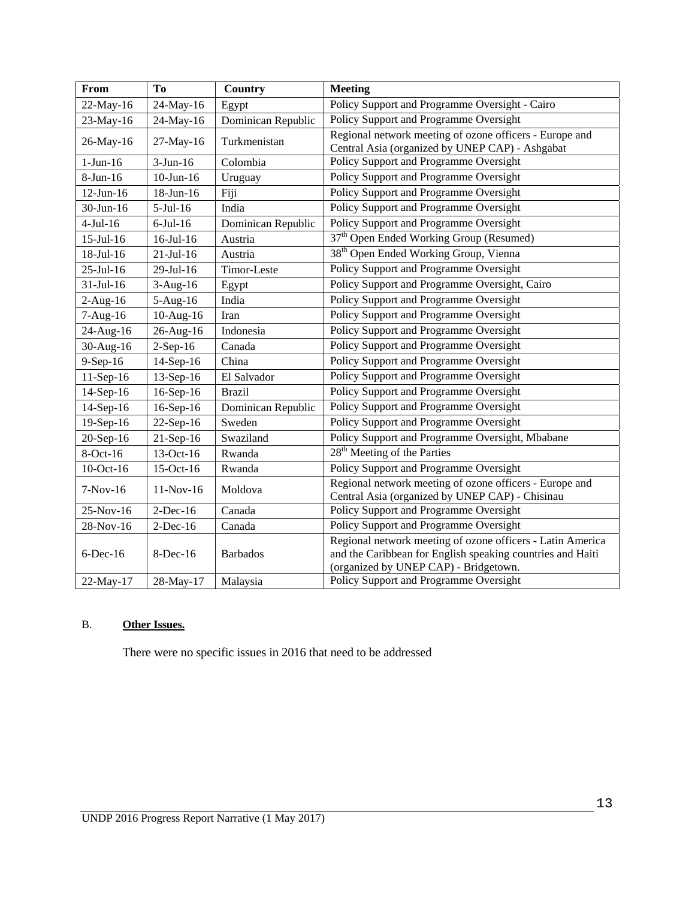| From            | To              | <b>Country</b>     | <b>Meeting</b>                                                                                                                                                    |
|-----------------|-----------------|--------------------|-------------------------------------------------------------------------------------------------------------------------------------------------------------------|
| 22-May-16       | 24-May-16       | Egypt              | Policy Support and Programme Oversight - Cairo                                                                                                                    |
| 23-May-16       | 24-May-16       | Dominican Republic | Policy Support and Programme Oversight                                                                                                                            |
| 26-May-16       | $27-May-16$     | Turkmenistan       | Regional network meeting of ozone officers - Europe and<br>Central Asia (organized by UNEP CAP) - Ashgabat                                                        |
| $1-Jun-16$      | $3-Jun-16$      | Colombia           | Policy Support and Programme Oversight                                                                                                                            |
| 8-Jun-16        | $10$ -Jun- $16$ | Uruguay            | Policy Support and Programme Oversight                                                                                                                            |
| $12$ -Jun- $16$ | 18-Jun-16       | Fiji               | Policy Support and Programme Oversight                                                                                                                            |
| 30-Jun-16       | $5-Jul-16$      | India              | Policy Support and Programme Oversight                                                                                                                            |
| $4-Jul-16$      | $6$ -Jul-16     | Dominican Republic | Policy Support and Programme Oversight                                                                                                                            |
| $15$ -Jul- $16$ | 16-Jul-16       | Austria            | 37 <sup>th</sup> Open Ended Working Group (Resumed)                                                                                                               |
| 18-Jul-16       | $21$ -Jul-16    | Austria            | 38 <sup>th</sup> Open Ended Working Group, Vienna                                                                                                                 |
| 25-Jul-16       | 29-Jul-16       | Timor-Leste        | Policy Support and Programme Oversight                                                                                                                            |
| $31-Jul-16$     | $3-Aug-16$      | Egypt              | Policy Support and Programme Oversight, Cairo                                                                                                                     |
| $2-Aug-16$      | 5-Aug-16        | India              | Policy Support and Programme Oversight                                                                                                                            |
| $7-Aug-16$      | $10-Aug-16$     | Iran               | Policy Support and Programme Oversight                                                                                                                            |
| 24-Aug-16       | 26-Aug-16       | Indonesia          | Policy Support and Programme Oversight                                                                                                                            |
| 30-Aug-16       | $2-Sep-16$      | Canada             | Policy Support and Programme Oversight                                                                                                                            |
| $9-Sep-16$      | 14-Sep-16       | China              | Policy Support and Programme Oversight                                                                                                                            |
| $11-Sep-16$     | 13-Sep-16       | El Salvador        | Policy Support and Programme Oversight                                                                                                                            |
| 14-Sep-16       | 16-Sep-16       | <b>Brazil</b>      | Policy Support and Programme Oversight                                                                                                                            |
| 14-Sep-16       | 16-Sep-16       | Dominican Republic | Policy Support and Programme Oversight                                                                                                                            |
| 19-Sep-16       | 22-Sep-16       | Sweden             | Policy Support and Programme Oversight                                                                                                                            |
| 20-Sep-16       | 21-Sep-16       | Swaziland          | Policy Support and Programme Oversight, Mbabane                                                                                                                   |
| 8-Oct-16        | 13-Oct-16       | Rwanda             | 28 <sup>th</sup> Meeting of the Parties                                                                                                                           |
| 10-Oct-16       | 15-Oct-16       | Rwanda             | Policy Support and Programme Oversight                                                                                                                            |
| $7-Nov-16$      | $11-Nov-16$     | Moldova            | Regional network meeting of ozone officers - Europe and<br>Central Asia (organized by UNEP CAP) - Chisinau                                                        |
| 25-Nov-16       | $2$ -Dec-16     | Canada             | Policy Support and Programme Oversight                                                                                                                            |
| 28-Nov-16       | $2$ -Dec-16     | Canada             | Policy Support and Programme Oversight                                                                                                                            |
| $6$ -Dec-16     | $8$ -Dec-16     | <b>Barbados</b>    | Regional network meeting of ozone officers - Latin America<br>and the Caribbean for English speaking countries and Haiti<br>(organized by UNEP CAP) - Bridgetown. |
| 22-May-17       | 28-May-17       | Malaysia           | Policy Support and Programme Oversight                                                                                                                            |

# B. **Other Issues.**

There were no specific issues in 2016 that need to be addressed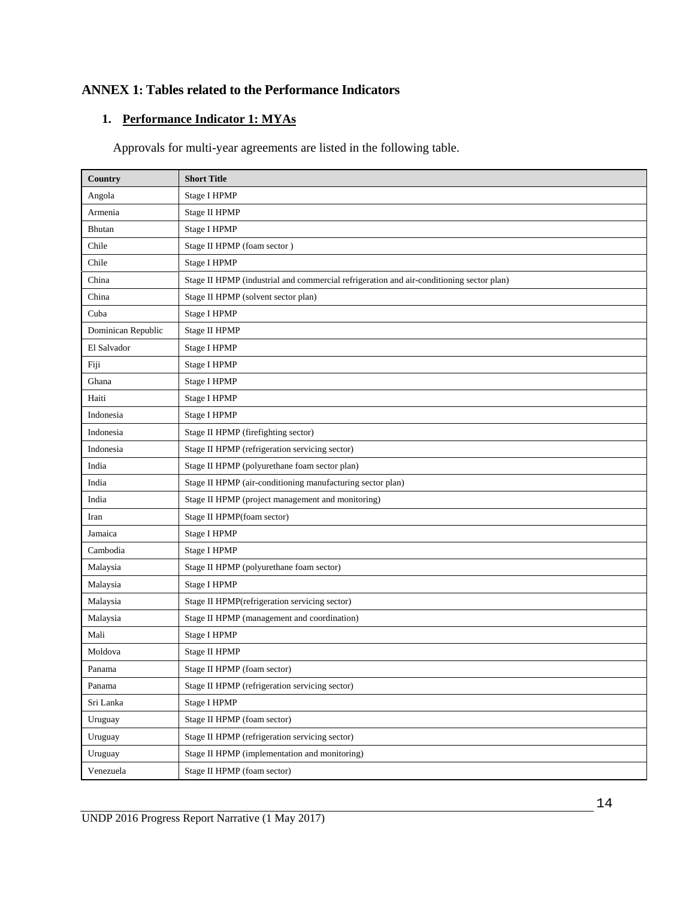# **ANNEX 1: Tables related to the Performance Indicators**

# **1. Performance Indicator 1: MYAs**

Approvals for multi-year agreements are listed in the following table.

| Country            | <b>Short Title</b>                                                                       |
|--------------------|------------------------------------------------------------------------------------------|
| Angola             | Stage I HPMP                                                                             |
| Armenia            | Stage II HPMP                                                                            |
| Bhutan             | Stage I HPMP                                                                             |
| Chile              | Stage II HPMP (foam sector)                                                              |
| Chile              | Stage I HPMP                                                                             |
| China              | Stage II HPMP (industrial and commercial refrigeration and air-conditioning sector plan) |
| China              | Stage II HPMP (solvent sector plan)                                                      |
| Cuba               | Stage I HPMP                                                                             |
| Dominican Republic | Stage II HPMP                                                                            |
| El Salvador        | Stage I HPMP                                                                             |
| Fiji               | Stage I HPMP                                                                             |
| Ghana              | Stage I HPMP                                                                             |
| Haiti              | Stage I HPMP                                                                             |
| Indonesia          | Stage I HPMP                                                                             |
| Indonesia          | Stage II HPMP (firefighting sector)                                                      |
| Indonesia          | Stage II HPMP (refrigeration servicing sector)                                           |
| India              | Stage II HPMP (polyurethane foam sector plan)                                            |
| India              | Stage II HPMP (air-conditioning manufacturing sector plan)                               |
| India              | Stage II HPMP (project management and monitoring)                                        |
| Iran               | Stage II HPMP(foam sector)                                                               |
| Jamaica            | Stage I HPMP                                                                             |
| Cambodia           | Stage I HPMP                                                                             |
| Malaysia           | Stage II HPMP (polyurethane foam sector)                                                 |
| Malaysia           | Stage I HPMP                                                                             |
| Malaysia           | Stage II HPMP(refrigeration servicing sector)                                            |
| Malaysia           | Stage II HPMP (management and coordination)                                              |
| Mali               | Stage I HPMP                                                                             |
| Moldova            | Stage II HPMP                                                                            |
| Panama             | Stage II HPMP (foam sector)                                                              |
| Panama             | Stage II HPMP (refrigeration servicing sector)                                           |
| Sri Lanka          | Stage I HPMP                                                                             |
| Uruguay            | Stage II HPMP (foam sector)                                                              |
| Uruguay            | Stage II HPMP (refrigeration servicing sector)                                           |
| Uruguay            | Stage II HPMP (implementation and monitoring)                                            |
| Venezuela          | Stage II HPMP (foam sector)                                                              |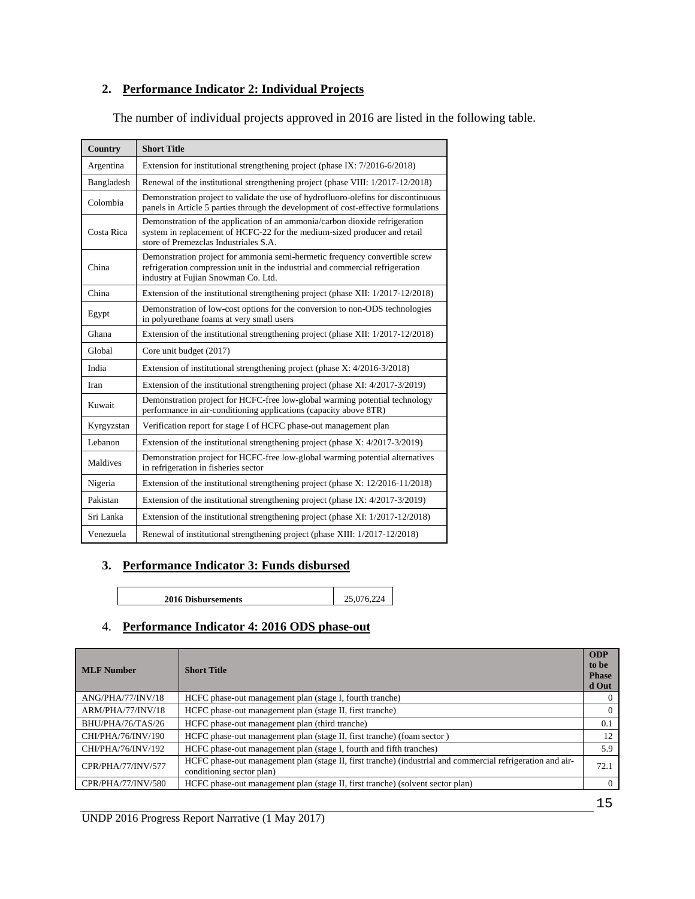# **2. Performance Indicator 2: Individual Projects**

The number of individual projects approved in 2016 are listed in the following table.

| Country    | <b>Short Title</b>                                                                                                                                                                                  |  |  |
|------------|-----------------------------------------------------------------------------------------------------------------------------------------------------------------------------------------------------|--|--|
| Argentina  | Extension for institutional strengthening project (phase IX: 7/2016-6/2018)                                                                                                                         |  |  |
| Bangladesh | Renewal of the institutional strengthening project (phase VIII: 1/2017-12/2018)                                                                                                                     |  |  |
| Colombia   | Demonstration project to validate the use of hydrofluoro-olefins for discontinuous<br>panels in Article 5 parties through the development of cost-effective formulations                            |  |  |
| Costa Rica | Demonstration of the application of an ammonia/carbon dioxide refrigeration<br>system in replacement of HCFC-22 for the medium-sized producer and retail<br>store of Premezclas Industriales S.A.   |  |  |
| China      | Demonstration project for ammonia semi-hermetic frequency convertible screw<br>refrigeration compression unit in the industrial and commercial refrigeration<br>industry at Fujian Snowman Co. Ltd. |  |  |
| China      | Extension of the institutional strengthening project (phase XII: 1/2017-12/2018)                                                                                                                    |  |  |
| Egypt      | Demonstration of low-cost options for the conversion to non-ODS technologies<br>in polyurethane foams at very small users                                                                           |  |  |
| Ghana      | Extension of the institutional strengthening project (phase XII: 1/2017-12/2018)                                                                                                                    |  |  |
| Global     | Core unit budget (2017)                                                                                                                                                                             |  |  |
| India      | Extension of institutional strengthening project (phase $X: 4/2016-3/2018$ )                                                                                                                        |  |  |
| Iran       | Extension of the institutional strengthening project (phase XI: 4/2017-3/2019)                                                                                                                      |  |  |
| Kuwait     | Demonstration project for HCFC-free low-global warming potential technology<br>performance in air-conditioning applications (capacity above 8TR)                                                    |  |  |
| Kyrgyzstan | Verification report for stage I of HCFC phase-out management plan                                                                                                                                   |  |  |
| Lebanon    | Extension of the institutional strengthening project (phase $X: 4/2017-3/2019$ )                                                                                                                    |  |  |
| Maldives   | Demonstration project for HCFC-free low-global warming potential alternatives<br>in refrigeration in fisheries sector                                                                               |  |  |
| Nigeria    | Extension of the institutional strengthening project (phase $X: 12/2016-11/2018$ )                                                                                                                  |  |  |
| Pakistan   | Extension of the institutional strengthening project (phase IX: 4/2017-3/2019)                                                                                                                      |  |  |
| Sri Lanka  | Extension of the institutional strengthening project (phase XI: 1/2017-12/2018)                                                                                                                     |  |  |
| Venezuela  | Renewal of institutional strengthening project (phase XIII: 1/2017-12/2018)                                                                                                                         |  |  |

#### **3. Performance Indicator 3: Funds disbursed**

**2016 Disbursements** 25,076,224

# 4. **Performance Indicator 4: 2016 ODS phase-out**

| <b>MLF</b> Number  | <b>Short Title</b>                                                                                                                      | <b>ODP</b><br>to be<br><b>Phase</b><br>d Out |
|--------------------|-----------------------------------------------------------------------------------------------------------------------------------------|----------------------------------------------|
| ANG/PHA/77/INV/18  | HCFC phase-out management plan (stage I, fourth tranche)                                                                                | $\Omega$                                     |
| ARM/PHA/77/INV/18  | HCFC phase-out management plan (stage II, first tranche)                                                                                | $\Omega$                                     |
| BHU/PHA/76/TAS/26  | HCFC phase-out management plan (third tranche)                                                                                          | 0.1                                          |
| CHI/PHA/76/INV/190 | HCFC phase-out management plan (stage II, first tranche) (foam sector)                                                                  | 12                                           |
| CHI/PHA/76/INV/192 | HCFC phase-out management plan (stage I, fourth and fifth tranches)                                                                     | 5.9                                          |
| CPR/PHA/77/INV/577 | HCFC phase-out management plan (stage II, first tranche) (industrial and commercial refrigeration and air-<br>conditioning sector plan) | 72.1                                         |
| CPR/PHA/77/INV/580 | HCFC phase-out management plan (stage II, first tranche) (solvent sector plan)                                                          | $\Omega$                                     |
|                    |                                                                                                                                         |                                              |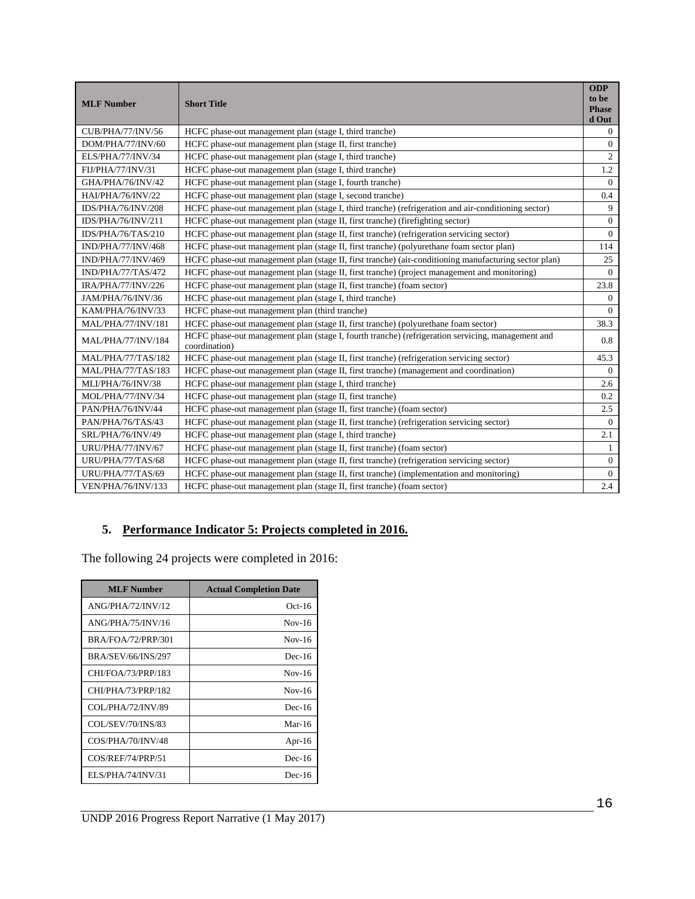| <b>MLF Number</b>  | <b>Short Title</b>                                                                                                 | <b>ODP</b><br>to be<br><b>Phase</b><br>d Out |
|--------------------|--------------------------------------------------------------------------------------------------------------------|----------------------------------------------|
| CUB/PHA/77/INV/56  | HCFC phase-out management plan (stage I, third tranche)                                                            | $\Omega$                                     |
| DOM/PHA/77/INV/60  | HCFC phase-out management plan (stage II, first tranche)                                                           | $\overline{0}$                               |
| ELS/PHA/77/INV/34  | HCFC phase-out management plan (stage I, third tranche)                                                            | $\overline{2}$                               |
| FIJ/PHA/77/INV/31  | HCFC phase-out management plan (stage I, third tranche)                                                            | 1.2                                          |
| GHA/PHA/76/INV/42  | HCFC phase-out management plan (stage I, fourth tranche)                                                           | $\overline{0}$                               |
| HAI/PHA/76/INV/22  | HCFC phase-out management plan (stage I, second tranche)                                                           | 0.4                                          |
| IDS/PHA/76/INV/208 | HCFC phase-out management plan (stage I, third tranche) (refrigeration and air-conditioning sector)                | 9                                            |
| IDS/PHA/76/INV/211 | HCFC phase-out management plan (stage II, first tranche) (firefighting sector)                                     | $\overline{0}$                               |
| IDS/PHA/76/TAS/210 | HCFC phase-out management plan (stage II, first tranche) (refrigeration servicing sector)                          | $\Omega$                                     |
| IND/PHA/77/INV/468 | HCFC phase-out management plan (stage II, first tranche) (polyurethane foam sector plan)                           | 114                                          |
| IND/PHA/77/INV/469 | HCFC phase-out management plan (stage II, first tranche) (air-conditioning manufacturing sector plan)              | 25                                           |
| IND/PHA/77/TAS/472 | HCFC phase-out management plan (stage II, first tranche) (project management and monitoring)                       | $\Omega$                                     |
| IRA/PHA/77/INV/226 | HCFC phase-out management plan (stage II, first tranche) (foam sector)                                             | 23.8                                         |
| JAM/PHA/76/INV/36  | HCFC phase-out management plan (stage I, third tranche)                                                            | $\overline{0}$                               |
| KAM/PHA/76/INV/33  | HCFC phase-out management plan (third tranche)                                                                     | $\Omega$                                     |
| MAL/PHA/77/INV/181 | HCFC phase-out management plan (stage II, first tranche) (polyurethane foam sector)                                | 38.3                                         |
| MAL/PHA/77/INV/184 | HCFC phase-out management plan (stage I, fourth tranche) (refrigeration servicing, management and<br>coordination) | 0.8                                          |
| MAL/PHA/77/TAS/182 | HCFC phase-out management plan (stage II, first tranche) (refrigeration servicing sector)                          | 45.3                                         |
| MAL/PHA/77/TAS/183 | HCFC phase-out management plan (stage II, first tranche) (management and coordination)                             | $\Omega$                                     |
| MLI/PHA/76/INV/38  | HCFC phase-out management plan (stage I, third tranche)                                                            | 2.6                                          |
| MOL/PHA/77/INV/34  | HCFC phase-out management plan (stage II, first tranche)                                                           | 0.2                                          |
| PAN/PHA/76/INV/44  | HCFC phase-out management plan (stage II, first tranche) (foam sector)                                             | 2.5                                          |
| PAN/PHA/76/TAS/43  | HCFC phase-out management plan (stage II, first tranche) (refrigeration servicing sector)                          | $\Omega$                                     |
| SRL/PHA/76/INV/49  | HCFC phase-out management plan (stage I, third tranche)                                                            | 2.1                                          |
| URU/PHA/77/INV/67  | HCFC phase-out management plan (stage II, first tranche) (foam sector)                                             | $\mathbf{1}$                                 |
| URU/PHA/77/TAS/68  | HCFC phase-out management plan (stage II, first tranche) (refrigeration servicing sector)                          | $\overline{0}$                               |
| URU/PHA/77/TAS/69  | HCFC phase-out management plan (stage II, first tranche) (implementation and monitoring)                           | $\overline{0}$                               |
| VEN/PHA/76/INV/133 | HCFC phase-out management plan (stage II, first tranche) (foam sector)                                             | 2.4                                          |

# **5. Performance Indicator 5: Projects completed in 2016.**

The following 24 projects were completed in 2016:

| <b>MLF Number</b>         | <b>Actual Completion Date</b> |
|---------------------------|-------------------------------|
| ANG/PHA/72/INV/12         | $Oct-16$                      |
| ANG/PHA/75/INV/16         | $Nov-16$                      |
| <b>BRA/FOA/72/PRP/301</b> | $Nov-16$                      |
| <b>BRA/SEV/66/INS/297</b> | $Dec-16$                      |
| CHI/FOA/73/PRP/183        | $Nov-16$                      |
| CHI/PHA/73/PRP/182        | $Nov-16$                      |
| COL/PHA/72/INV/89         | $Dec-16$                      |
| COL/SEV/70/INS/83         | Mar-16                        |
| COS/PHA/70/INV/48         | Apr-16                        |
| COS/REF/74/PRP/51         | $Dec-16$                      |
| ELS/PHA/74/INV/31         | $Dec-16$                      |